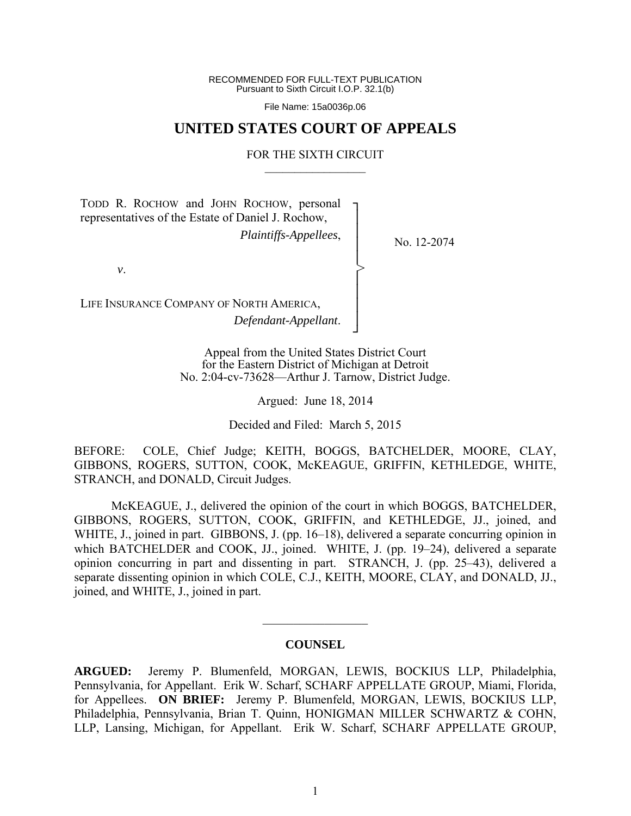RECOMMENDED FOR FULL-TEXT PUBLICATION Pursuant to Sixth Circuit I.O.P. 32.1(b)

File Name: 15a0036p.06

## **UNITED STATES COURT OF APPEALS**

### FOR THE SIXTH CIRCUIT  $\mathcal{L}_\text{max}$

┐ │ │ │ │ │ │ │ │ ┘

>

TODD R. ROCHOW and JOHN ROCHOW, personal representatives of the Estate of Daniel J. Rochow, *Plaintiffs-Appellees*,

No. 12-2074

*v*.

LIFE INSURANCE COMPANY OF NORTH AMERICA, *Defendant-Appellant*.

> Appeal from the United States District Court for the Eastern District of Michigan at Detroit No. 2:04-cv-73628—Arthur J. Tarnow, District Judge.

> > Argued: June 18, 2014

Decided and Filed: March 5, 2015

BEFORE: COLE, Chief Judge; KEITH, BOGGS, BATCHELDER, MOORE, CLAY, GIBBONS, ROGERS, SUTTON, COOK, McKEAGUE, GRIFFIN, KETHLEDGE, WHITE, STRANCH, and DONALD, Circuit Judges.

 McKEAGUE, J., delivered the opinion of the court in which BOGGS, BATCHELDER, GIBBONS, ROGERS, SUTTON, COOK, GRIFFIN, and KETHLEDGE, JJ., joined, and WHITE, J., joined in part. GIBBONS, J. (pp. 16–18), delivered a separate concurring opinion in which BATCHELDER and COOK, JJ., joined. WHITE, J. (pp. 19–24), delivered a separate opinion concurring in part and dissenting in part. STRANCH, J. (pp. 25–43), delivered a separate dissenting opinion in which COLE, C.J., KEITH, MOORE, CLAY, and DONALD, JJ., joined, and WHITE, J., joined in part.

## **COUNSEL**

 $\frac{1}{2}$ 

**ARGUED:** Jeremy P. Blumenfeld, MORGAN, LEWIS, BOCKIUS LLP, Philadelphia, Pennsylvania, for Appellant. Erik W. Scharf, SCHARF APPELLATE GROUP, Miami, Florida, for Appellees. **ON BRIEF:** Jeremy P. Blumenfeld, MORGAN, LEWIS, BOCKIUS LLP, Philadelphia, Pennsylvania, Brian T. Quinn, HONIGMAN MILLER SCHWARTZ & COHN, LLP, Lansing, Michigan, for Appellant. Erik W. Scharf, SCHARF APPELLATE GROUP,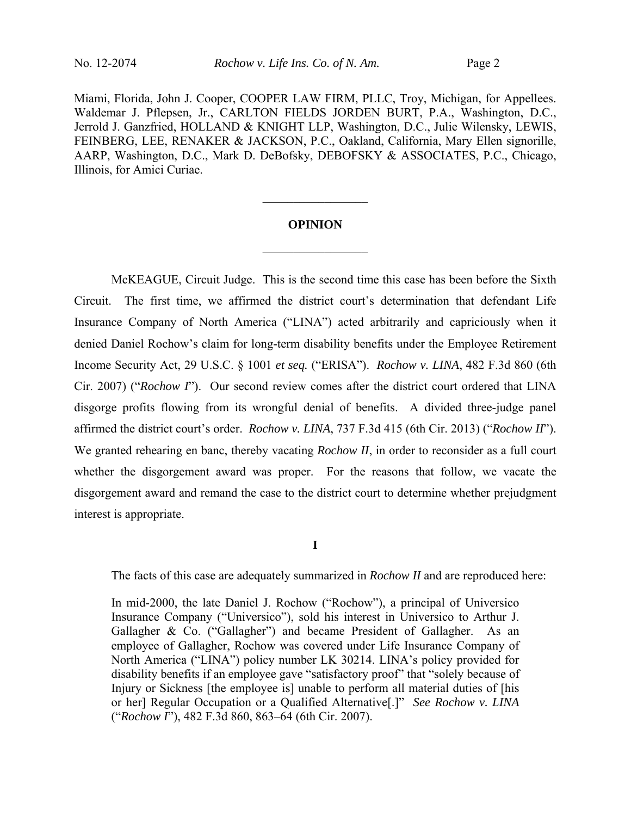Miami, Florida, John J. Cooper, COOPER LAW FIRM, PLLC, Troy, Michigan, for Appellees. Waldemar J. Pflepsen, Jr., CARLTON FIELDS JORDEN BURT, P.A., Washington, D.C., Jerrold J. Ganzfried, HOLLAND & KNIGHT LLP, Washington, D.C., Julie Wilensky, LEWIS, FEINBERG, LEE, RENAKER & JACKSON, P.C., Oakland, California, Mary Ellen signorille, AARP, Washington, D.C., Mark D. DeBofsky, DEBOFSKY & ASSOCIATES, P.C., Chicago, Illinois, for Amici Curiae.

## **OPINION**

 $\frac{1}{2}$ 

 $\frac{1}{2}$ 

 McKEAGUE, Circuit Judge. This is the second time this case has been before the Sixth Circuit. The first time, we affirmed the district court's determination that defendant Life Insurance Company of North America ("LINA") acted arbitrarily and capriciously when it denied Daniel Rochow's claim for long-term disability benefits under the Employee Retirement Income Security Act, 29 U.S.C. § 1001 *et seq.* ("ERISA"). *Rochow v. LINA*, 482 F.3d 860 (6th Cir. 2007) ("*Rochow I*"). Our second review comes after the district court ordered that LINA disgorge profits flowing from its wrongful denial of benefits. A divided three-judge panel affirmed the district court's order. *Rochow v. LINA*, 737 F.3d 415 (6th Cir. 2013) ("*Rochow II*"). We granted rehearing en banc, thereby vacating *Rochow II*, in order to reconsider as a full court whether the disgorgement award was proper. For the reasons that follow, we vacate the disgorgement award and remand the case to the district court to determine whether prejudgment interest is appropriate.

**I**

The facts of this case are adequately summarized in *Rochow II* and are reproduced here:

In mid-2000, the late Daniel J. Rochow ("Rochow"), a principal of Universico Insurance Company ("Universico"), sold his interest in Universico to Arthur J. Gallagher & Co. ("Gallagher") and became President of Gallagher. As an employee of Gallagher, Rochow was covered under Life Insurance Company of North America ("LINA") policy number LK 30214. LINA's policy provided for disability benefits if an employee gave "satisfactory proof" that "solely because of Injury or Sickness [the employee is] unable to perform all material duties of [his or her] Regular Occupation or a Qualified Alternative[.]" *See Rochow v. LINA* ("*Rochow I*"), 482 F.3d 860, 863–64 (6th Cir. 2007).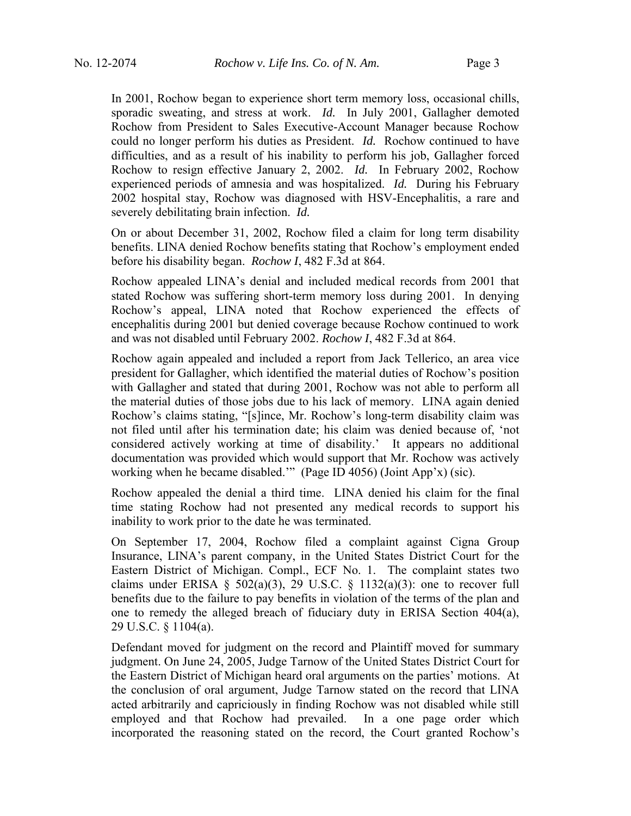In 2001, Rochow began to experience short term memory loss, occasional chills, sporadic sweating, and stress at work. *Id.* In July 2001, Gallagher demoted Rochow from President to Sales Executive-Account Manager because Rochow could no longer perform his duties as President. *Id.* Rochow continued to have difficulties, and as a result of his inability to perform his job, Gallagher forced Rochow to resign effective January 2, 2002. *Id.* In February 2002, Rochow experienced periods of amnesia and was hospitalized. *Id.* During his February 2002 hospital stay, Rochow was diagnosed with HSV-Encephalitis, a rare and severely debilitating brain infection. *Id.*

On or about December 31, 2002, Rochow filed a claim for long term disability benefits. LINA denied Rochow benefits stating that Rochow's employment ended before his disability began. *Rochow I*, 482 F.3d at 864.

Rochow appealed LINA's denial and included medical records from 2001 that stated Rochow was suffering short-term memory loss during 2001. In denying Rochow's appeal, LINA noted that Rochow experienced the effects of encephalitis during 2001 but denied coverage because Rochow continued to work and was not disabled until February 2002. *Rochow I*, 482 F.3d at 864.

Rochow again appealed and included a report from Jack Tellerico, an area vice president for Gallagher, which identified the material duties of Rochow's position with Gallagher and stated that during 2001, Rochow was not able to perform all the material duties of those jobs due to his lack of memory. LINA again denied Rochow's claims stating, "[s]ince, Mr. Rochow's long-term disability claim was not filed until after his termination date; his claim was denied because of, 'not considered actively working at time of disability.' It appears no additional documentation was provided which would support that Mr. Rochow was actively working when he became disabled.'" (Page ID 4056) (Joint App'x) (sic).

Rochow appealed the denial a third time. LINA denied his claim for the final time stating Rochow had not presented any medical records to support his inability to work prior to the date he was terminated.

On September 17, 2004, Rochow filed a complaint against Cigna Group Insurance, LINA's parent company, in the United States District Court for the Eastern District of Michigan. Compl., ECF No. 1. The complaint states two claims under ERISA  $\S$  502(a)(3), 29 U.S.C.  $\S$  1132(a)(3): one to recover full benefits due to the failure to pay benefits in violation of the terms of the plan and one to remedy the alleged breach of fiduciary duty in ERISA Section  $404(a)$ , 29 U.S.C. § 1104(a).

Defendant moved for judgment on the record and Plaintiff moved for summary judgment. On June 24, 2005, Judge Tarnow of the United States District Court for the Eastern District of Michigan heard oral arguments on the parties' motions. At the conclusion of oral argument, Judge Tarnow stated on the record that LINA acted arbitrarily and capriciously in finding Rochow was not disabled while still employed and that Rochow had prevailed. In a one page order which incorporated the reasoning stated on the record, the Court granted Rochow's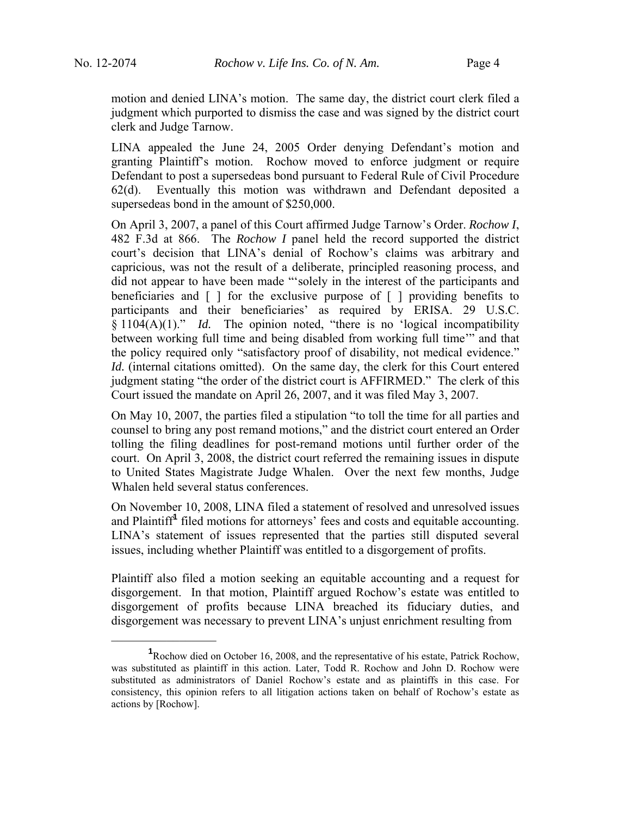motion and denied LINA's motion. The same day, the district court clerk filed a judgment which purported to dismiss the case and was signed by the district court clerk and Judge Tarnow.

LINA appealed the June 24, 2005 Order denying Defendant's motion and granting Plaintiff's motion. Rochow moved to enforce judgment or require Defendant to post a supersedeas bond pursuant to Federal Rule of Civil Procedure 62(d). Eventually this motion was withdrawn and Defendant deposited a supersedeas bond in the amount of \$250,000.

On April 3, 2007, a panel of this Court affirmed Judge Tarnow's Order. *Rochow I*, 482 F.3d at 866. The *Rochow I* panel held the record supported the district court's decision that LINA's denial of Rochow's claims was arbitrary and capricious, was not the result of a deliberate, principled reasoning process, and did not appear to have been made "'solely in the interest of the participants and beneficiaries and [ ] for the exclusive purpose of [ ] providing benefits to participants and their beneficiaries' as required by ERISA. 29 U.S.C. § 1104(A)(1)." *Id.* The opinion noted, "there is no 'logical incompatibility between working full time and being disabled from working full time'" and that the policy required only "satisfactory proof of disability, not medical evidence." *Id.* (internal citations omitted). On the same day, the clerk for this Court entered judgment stating "the order of the district court is AFFIRMED." The clerk of this Court issued the mandate on April 26, 2007, and it was filed May 3, 2007.

On May 10, 2007, the parties filed a stipulation "to toll the time for all parties and counsel to bring any post remand motions," and the district court entered an Order tolling the filing deadlines for post-remand motions until further order of the court. On April 3, 2008, the district court referred the remaining issues in dispute to United States Magistrate Judge Whalen. Over the next few months, Judge Whalen held several status conferences.

On November 10, 2008, LINA filed a statement of resolved and unresolved issues and Plaintiff**<sup>1</sup>** filed motions for attorneys' fees and costs and equitable accounting. LINA's statement of issues represented that the parties still disputed several issues, including whether Plaintiff was entitled to a disgorgement of profits.

Plaintiff also filed a motion seeking an equitable accounting and a request for disgorgement. In that motion, Plaintiff argued Rochow's estate was entitled to disgorgement of profits because LINA breached its fiduciary duties, and disgorgement was necessary to prevent LINA's unjust enrichment resulting from

 $\frac{1}{2}$ 

<sup>&</sup>lt;sup>1</sup>Rochow died on October 16, 2008, and the representative of his estate, Patrick Rochow, was substituted as plaintiff in this action. Later, Todd R. Rochow and John D. Rochow were substituted as administrators of Daniel Rochow's estate and as plaintiffs in this case. For consistency, this opinion refers to all litigation actions taken on behalf of Rochow's estate as actions by [Rochow].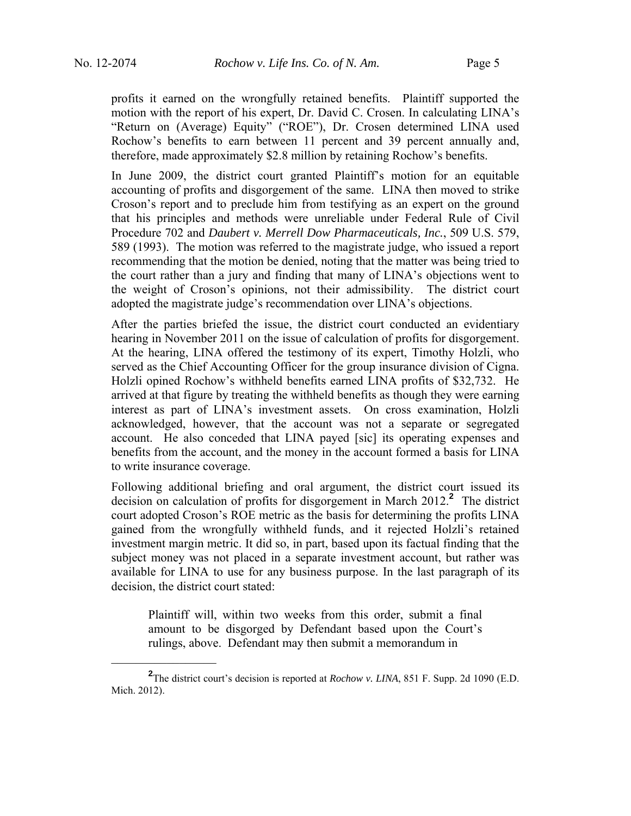profits it earned on the wrongfully retained benefits. Plaintiff supported the motion with the report of his expert, Dr. David C. Crosen. In calculating LINA's "Return on (Average) Equity" ("ROE"), Dr. Crosen determined LINA used Rochow's benefits to earn between 11 percent and 39 percent annually and, therefore, made approximately \$2.8 million by retaining Rochow's benefits.

In June 2009, the district court granted Plaintiff's motion for an equitable accounting of profits and disgorgement of the same. LINA then moved to strike Croson's report and to preclude him from testifying as an expert on the ground that his principles and methods were unreliable under Federal Rule of Civil Procedure 702 and *Daubert v. Merrell Dow Pharmaceuticals, Inc.*, 509 U.S. 579, 589 (1993). The motion was referred to the magistrate judge, who issued a report recommending that the motion be denied, noting that the matter was being tried to the court rather than a jury and finding that many of LINA's objections went to the weight of Croson's opinions, not their admissibility. The district court adopted the magistrate judge's recommendation over LINA's objections.

After the parties briefed the issue, the district court conducted an evidentiary hearing in November 2011 on the issue of calculation of profits for disgorgement. At the hearing, LINA offered the testimony of its expert, Timothy Holzli, who served as the Chief Accounting Officer for the group insurance division of Cigna. Holzli opined Rochow's withheld benefits earned LINA profits of \$32,732. He arrived at that figure by treating the withheld benefits as though they were earning interest as part of LINA's investment assets. On cross examination, Holzli acknowledged, however, that the account was not a separate or segregated account. He also conceded that LINA payed [sic] its operating expenses and benefits from the account, and the money in the account formed a basis for LINA to write insurance coverage.

Following additional briefing and oral argument, the district court issued its decision on calculation of profits for disgorgement in March 2012.**<sup>2</sup>** The district court adopted Croson's ROE metric as the basis for determining the profits LINA gained from the wrongfully withheld funds, and it rejected Holzli's retained investment margin metric. It did so, in part, based upon its factual finding that the subject money was not placed in a separate investment account, but rather was available for LINA to use for any business purpose. In the last paragraph of its decision, the district court stated:

Plaintiff will, within two weeks from this order, submit a final amount to be disgorged by Defendant based upon the Court's rulings, above. Defendant may then submit a memorandum in

 $\frac{1}{2}$ 

**<sup>2</sup>** The district court's decision is reported at *Rochow v. LINA*, 851 F. Supp. 2d 1090 (E.D. Mich. 2012).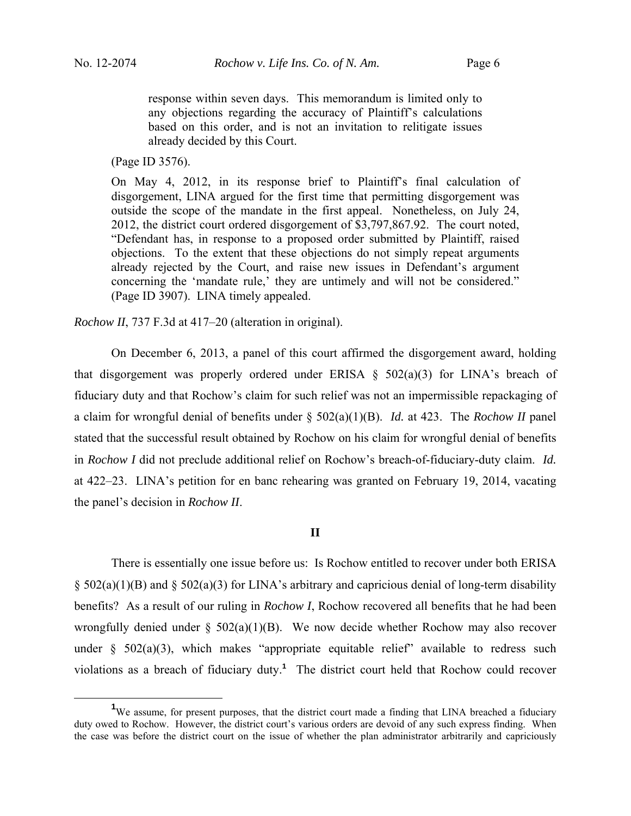response within seven days. This memorandum is limited only to any objections regarding the accuracy of Plaintiff's calculations based on this order, and is not an invitation to relitigate issues already decided by this Court.

(Page ID 3576).

On May 4, 2012, in its response brief to Plaintiff's final calculation of disgorgement, LINA argued for the first time that permitting disgorgement was outside the scope of the mandate in the first appeal. Nonetheless, on July 24, 2012, the district court ordered disgorgement of \$3,797,867.92. The court noted, "Defendant has, in response to a proposed order submitted by Plaintiff, raised objections. To the extent that these objections do not simply repeat arguments already rejected by the Court, and raise new issues in Defendant's argument concerning the 'mandate rule,' they are untimely and will not be considered." (Page ID 3907). LINA timely appealed.

*Rochow II*, 737 F.3d at 417–20 (alteration in original).

 On December 6, 2013, a panel of this court affirmed the disgorgement award, holding that disgorgement was properly ordered under ERISA  $\S$  502(a)(3) for LINA's breach of fiduciary duty and that Rochow's claim for such relief was not an impermissible repackaging of a claim for wrongful denial of benefits under § 502(a)(1)(B). *Id.* at 423. The *Rochow II* panel stated that the successful result obtained by Rochow on his claim for wrongful denial of benefits in *Rochow I* did not preclude additional relief on Rochow's breach-of-fiduciary-duty claim. *Id.* at 422–23. LINA's petition for en banc rehearing was granted on February 19, 2014, vacating the panel's decision in *Rochow II*.

## **II**

 There is essentially one issue before us: Is Rochow entitled to recover under both ERISA  $\S$  502(a)(1)(B) and  $\S$  502(a)(3) for LINA's arbitrary and capricious denial of long-term disability benefits? As a result of our ruling in *Rochow I*, Rochow recovered all benefits that he had been wrongfully denied under § 502(a)(1)(B). We now decide whether Rochow may also recover under  $\S$  502(a)(3), which makes "appropriate equitable relief" available to redress such violations as a breach of fiduciary duty.**<sup>1</sup>** The district court held that Rochow could recover

 $\frac{1}{1}$ <sup>1</sup>We assume, for present purposes, that the district court made a finding that LINA breached a fiduciary duty owed to Rochow. However, the district court's various orders are devoid of any such express finding. When the case was before the district court on the issue of whether the plan administrator arbitrarily and capriciously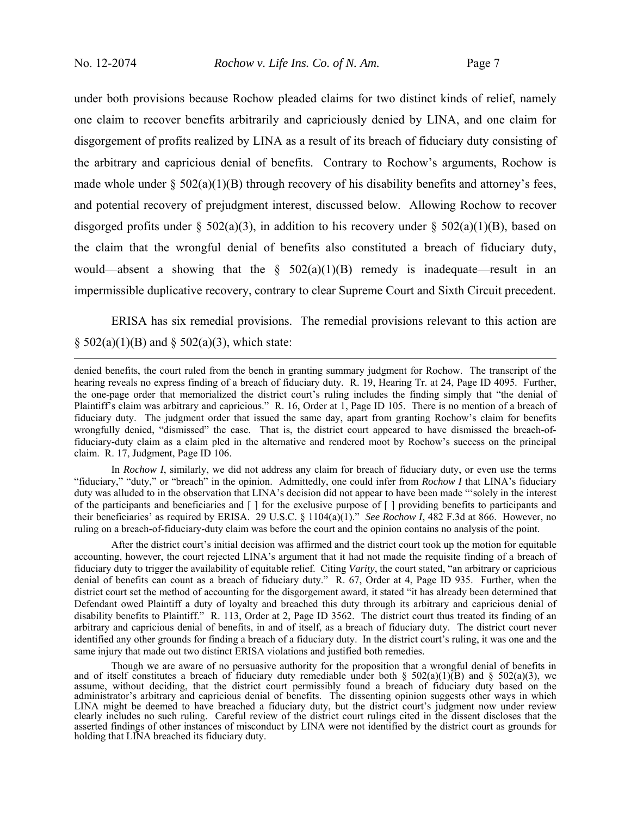under both provisions because Rochow pleaded claims for two distinct kinds of relief, namely one claim to recover benefits arbitrarily and capriciously denied by LINA, and one claim for disgorgement of profits realized by LINA as a result of its breach of fiduciary duty consisting of the arbitrary and capricious denial of benefits. Contrary to Rochow's arguments, Rochow is made whole under  $\S 502(a)(1)(B)$  through recovery of his disability benefits and attorney's fees, and potential recovery of prejudgment interest, discussed below. Allowing Rochow to recover disgorged profits under § 502(a)(3), in addition to his recovery under § 502(a)(1)(B), based on the claim that the wrongful denial of benefits also constituted a breach of fiduciary duty, would—absent a showing that the  $\S$  502(a)(1)(B) remedy is inadequate—result in an impermissible duplicative recovery, contrary to clear Supreme Court and Sixth Circuit precedent.

 ERISA has six remedial provisions. The remedial provisions relevant to this action are  $§ 502(a)(1)(B)$  and  $§ 502(a)(3)$ , which state:

 denied benefits, the court ruled from the bench in granting summary judgment for Rochow. The transcript of the hearing reveals no express finding of a breach of fiduciary duty. R. 19, Hearing Tr. at 24, Page ID 4095. Further, the one-page order that memorialized the district court's ruling includes the finding simply that "the denial of Plaintiff's claim was arbitrary and capricious." R. 16, Order at 1, Page ID 105. There is no mention of a breach of fiduciary duty. The judgment order that issued the same day, apart from granting Rochow's claim for benefits wrongfully denied, "dismissed" the case. That is, the district court appeared to have dismissed the breach-offiduciary-duty claim as a claim pled in the alternative and rendered moot by Rochow's success on the principal claim. R. 17, Judgment, Page ID 106.

In *Rochow I*, similarly, we did not address any claim for breach of fiduciary duty, or even use the terms "fiduciary," "duty," or "breach" in the opinion. Admittedly, one could infer from *Rochow I* that LINA's fiduciary duty was alluded to in the observation that LINA's decision did not appear to have been made "'solely in the interest of the participants and beneficiaries and [ ] for the exclusive purpose of [ ] providing benefits to participants and their beneficiaries' as required by ERISA. 29 U.S.C. § 1104(a)(1)." *See Rochow I*, 482 F.3d at 866. However, no ruling on a breach-of-fiduciary-duty claim was before the court and the opinion contains no analysis of the point.

After the district court's initial decision was affirmed and the district court took up the motion for equitable accounting, however, the court rejected LINA's argument that it had not made the requisite finding of a breach of fiduciary duty to trigger the availability of equitable relief. Citing *Varity*, the court stated, "an arbitrary or capricious denial of benefits can count as a breach of fiduciary duty." R. 67, Order at 4, Page ID 935. Further, when the district court set the method of accounting for the disgorgement award, it stated "it has already been determined that Defendant owed Plaintiff a duty of loyalty and breached this duty through its arbitrary and capricious denial of disability benefits to Plaintiff." R. 113, Order at 2, Page ID 3562. The district court thus treated its finding of an arbitrary and capricious denial of benefits, in and of itself, as a breach of fiduciary duty. The district court never identified any other grounds for finding a breach of a fiduciary duty. In the district court's ruling, it was one and the same injury that made out two distinct ERISA violations and justified both remedies.

Though we are aware of no persuasive authority for the proposition that a wrongful denial of benefits in and of itself constitutes a breach of fiduciary duty remediable under both  $\S$  502(a)(1)(B) and  $\S$  502(a)(3), we assume, without deciding, that the district court permissibly found a breach of fiduciary duty based on the administrator's arbitrary and capricious denial of benefits. The dissenting opinion suggests other ways in which LINA might be deemed to have breached a fiduciary duty, but the district court's judgment now under review clearly includes no such ruling. Careful review of the district court rulings cited in the dissent discloses that the asserted findings of other instances of misconduct by LINA were not identified by the district court as grounds for holding that LINA breached its fiduciary duty.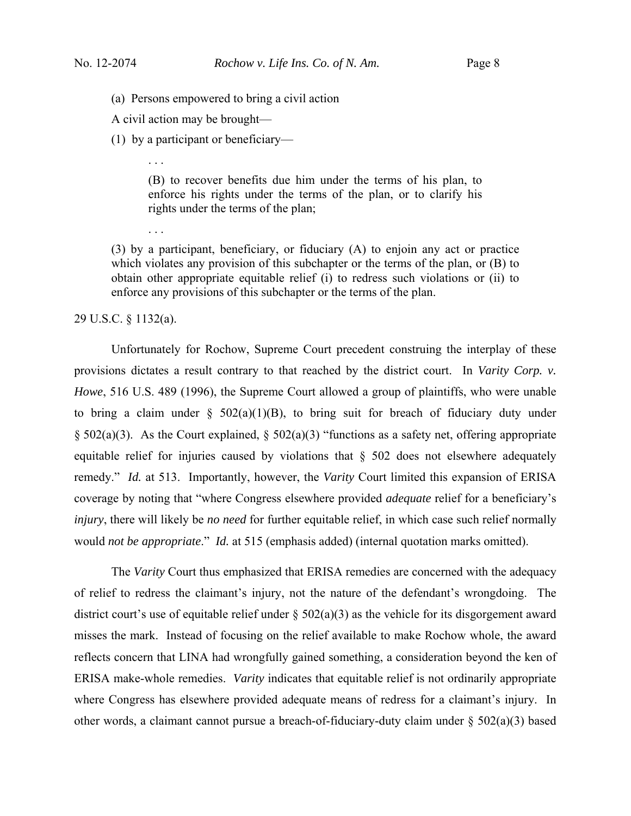(a) Persons empowered to bring a civil action

A civil action may be brought—

. . .

. . .

(1) by a participant or beneficiary—

(B) to recover benefits due him under the terms of his plan, to enforce his rights under the terms of the plan, or to clarify his rights under the terms of the plan;

(3) by a participant, beneficiary, or fiduciary (A) to enjoin any act or practice which violates any provision of this subchapter or the terms of the plan, or  $(B)$  to obtain other appropriate equitable relief (i) to redress such violations or (ii) to enforce any provisions of this subchapter or the terms of the plan.

29 U.S.C. § 1132(a).

 Unfortunately for Rochow, Supreme Court precedent construing the interplay of these provisions dictates a result contrary to that reached by the district court. In *Varity Corp. v. Howe*, 516 U.S. 489 (1996), the Supreme Court allowed a group of plaintiffs, who were unable to bring a claim under  $\S$  502(a)(1)(B), to bring suit for breach of fiduciary duty under § 502(a)(3). As the Court explained, § 502(a)(3) "functions as a safety net, offering appropriate equitable relief for injuries caused by violations that § 502 does not elsewhere adequately remedy." *Id.* at 513. Importantly, however, the *Varity* Court limited this expansion of ERISA coverage by noting that "where Congress elsewhere provided *adequate* relief for a beneficiary's *injury*, there will likely be *no need* for further equitable relief, in which case such relief normally would *not be appropriate*." *Id.* at 515 (emphasis added) (internal quotation marks omitted).

 The *Varity* Court thus emphasized that ERISA remedies are concerned with the adequacy of relief to redress the claimant's injury, not the nature of the defendant's wrongdoing. The district court's use of equitable relief under  $\S$  502(a)(3) as the vehicle for its disgorgement award misses the mark. Instead of focusing on the relief available to make Rochow whole, the award reflects concern that LINA had wrongfully gained something, a consideration beyond the ken of ERISA make-whole remedies. *Varity* indicates that equitable relief is not ordinarily appropriate where Congress has elsewhere provided adequate means of redress for a claimant's injury. In other words, a claimant cannot pursue a breach-of-fiduciary-duty claim under  $\S 502(a)(3)$  based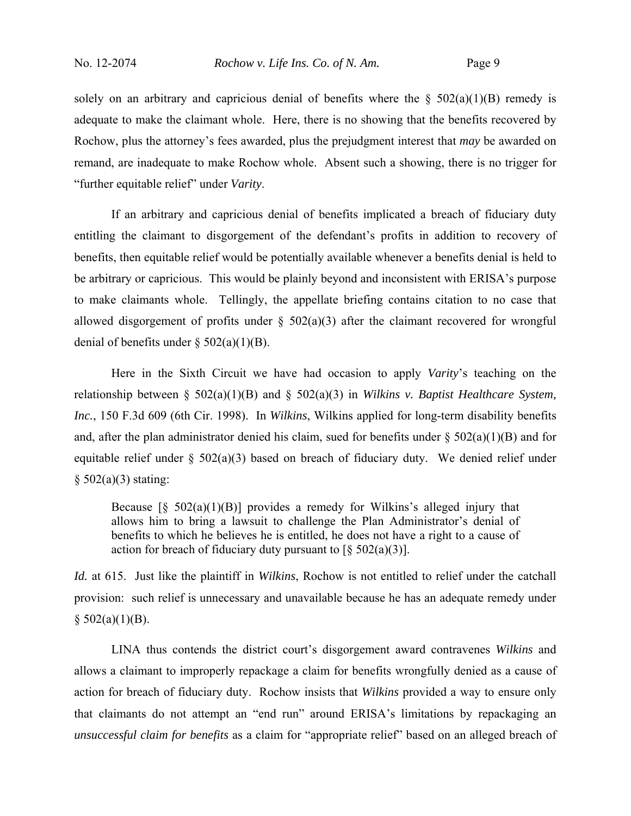solely on an arbitrary and capricious denial of benefits where the  $\S$  502(a)(1)(B) remedy is adequate to make the claimant whole. Here, there is no showing that the benefits recovered by Rochow, plus the attorney's fees awarded, plus the prejudgment interest that *may* be awarded on remand, are inadequate to make Rochow whole. Absent such a showing, there is no trigger for "further equitable relief" under *Varity*.

 If an arbitrary and capricious denial of benefits implicated a breach of fiduciary duty entitling the claimant to disgorgement of the defendant's profits in addition to recovery of benefits, then equitable relief would be potentially available whenever a benefits denial is held to be arbitrary or capricious. This would be plainly beyond and inconsistent with ERISA's purpose to make claimants whole. Tellingly, the appellate briefing contains citation to no case that allowed disgorgement of profits under  $\S$  502(a)(3) after the claimant recovered for wrongful denial of benefits under  $\S$  502(a)(1)(B).

 Here in the Sixth Circuit we have had occasion to apply *Varity*'s teaching on the relationship between § 502(a)(1)(B) and § 502(a)(3) in *Wilkins v. Baptist Healthcare System, Inc.*, 150 F.3d 609 (6th Cir. 1998). In *Wilkins*, Wilkins applied for long-term disability benefits and, after the plan administrator denied his claim, sued for benefits under  $\S$  502(a)(1)(B) and for equitable relief under § 502(a)(3) based on breach of fiduciary duty. We denied relief under  $§ 502(a)(3)$  stating:

Because  $\lceil \S 502(a)(1)(B) \rceil$  provides a remedy for Wilkins's alleged injury that allows him to bring a lawsuit to challenge the Plan Administrator's denial of benefits to which he believes he is entitled, he does not have a right to a cause of action for breach of fiduciary duty pursuant to  $\lceil \frac{6}{5} \cdot 502(a)(3) \rceil$ .

*Id.* at 615. Just like the plaintiff in *Wilkins*, Rochow is not entitled to relief under the catchall provision: such relief is unnecessary and unavailable because he has an adequate remedy under  $$502(a)(1)(B).$ 

 LINA thus contends the district court's disgorgement award contravenes *Wilkins* and allows a claimant to improperly repackage a claim for benefits wrongfully denied as a cause of action for breach of fiduciary duty. Rochow insists that *Wilkins* provided a way to ensure only that claimants do not attempt an "end run" around ERISA's limitations by repackaging an *unsuccessful claim for benefits* as a claim for "appropriate relief" based on an alleged breach of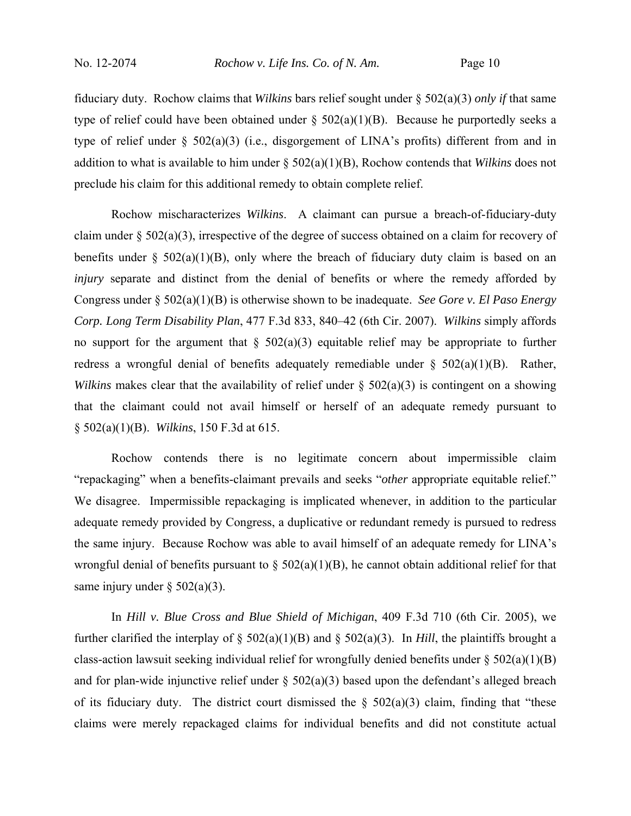fiduciary duty. Rochow claims that *Wilkins* bars relief sought under § 502(a)(3) *only if* that same type of relief could have been obtained under  $\S$  502(a)(1)(B). Because he purportedly seeks a type of relief under § 502(a)(3) (i.e., disgorgement of LINA's profits) different from and in addition to what is available to him under § 502(a)(1)(B), Rochow contends that *Wilkins* does not preclude his claim for this additional remedy to obtain complete relief.

 Rochow mischaracterizes *Wilkins*. A claimant can pursue a breach-of-fiduciary-duty claim under § 502(a)(3), irrespective of the degree of success obtained on a claim for recovery of benefits under  $\S$  502(a)(1)(B), only where the breach of fiduciary duty claim is based on an *injury* separate and distinct from the denial of benefits or where the remedy afforded by Congress under § 502(a)(1)(B) is otherwise shown to be inadequate. *See Gore v. El Paso Energy Corp. Long Term Disability Plan*, 477 F.3d 833, 840–42 (6th Cir. 2007). *Wilkins* simply affords no support for the argument that  $\S$  502(a)(3) equitable relief may be appropriate to further redress a wrongful denial of benefits adequately remediable under  $\S$  502(a)(1)(B). Rather, *Wilkins* makes clear that the availability of relief under § 502(a)(3) is contingent on a showing that the claimant could not avail himself or herself of an adequate remedy pursuant to § 502(a)(1)(B). *Wilkins*, 150 F.3d at 615.

 Rochow contends there is no legitimate concern about impermissible claim "repackaging" when a benefits-claimant prevails and seeks "*other* appropriate equitable relief." We disagree. Impermissible repackaging is implicated whenever, in addition to the particular adequate remedy provided by Congress, a duplicative or redundant remedy is pursued to redress the same injury. Because Rochow was able to avail himself of an adequate remedy for LINA's wrongful denial of benefits pursuant to  $\S$  502(a)(1)(B), he cannot obtain additional relief for that same injury under  $\S 502(a)(3)$ .

 In *Hill v. Blue Cross and Blue Shield of Michigan*, 409 F.3d 710 (6th Cir. 2005), we further clarified the interplay of  $\S$  502(a)(1)(B) and  $\S$  502(a)(3). In *Hill*, the plaintiffs brought a class-action lawsuit seeking individual relief for wrongfully denied benefits under  $\S 502(a)(1)(B)$ and for plan-wide injunctive relief under  $\S 502(a)(3)$  based upon the defendant's alleged breach of its fiduciary duty. The district court dismissed the  $\S$  502(a)(3) claim, finding that "these claims were merely repackaged claims for individual benefits and did not constitute actual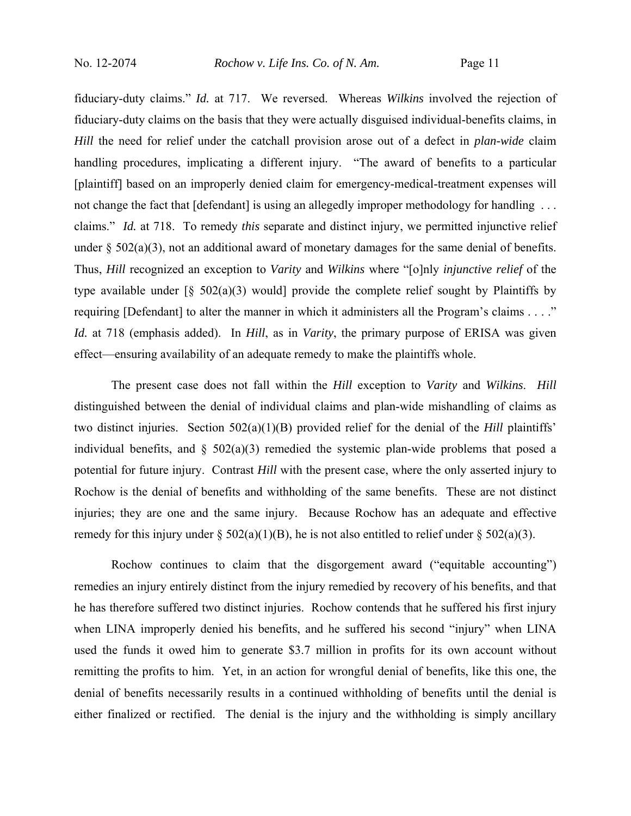fiduciary-duty claims." *Id.* at 717. We reversed. Whereas *Wilkins* involved the rejection of fiduciary-duty claims on the basis that they were actually disguised individual-benefits claims, in *Hill* the need for relief under the catchall provision arose out of a defect in *plan-wide* claim handling procedures, implicating a different injury. "The award of benefits to a particular [plaintiff] based on an improperly denied claim for emergency-medical-treatment expenses will not change the fact that [defendant] is using an allegedly improper methodology for handling ... claims." *Id.* at 718. To remedy *this* separate and distinct injury, we permitted injunctive relief under  $\S$  502(a)(3), not an additional award of monetary damages for the same denial of benefits. Thus, *Hill* recognized an exception to *Varity* and *Wilkins* where "[o]nly *injunctive relief* of the type available under  $\lceil \S 502(a)(3) \rceil$  would provide the complete relief sought by Plaintiffs by requiring [Defendant] to alter the manner in which it administers all the Program's claims . . . ." *Id.* at 718 (emphasis added). In *Hill*, as in *Varity*, the primary purpose of ERISA was given effect—ensuring availability of an adequate remedy to make the plaintiffs whole.

 The present case does not fall within the *Hill* exception to *Varity* and *Wilkins*. *Hill* distinguished between the denial of individual claims and plan-wide mishandling of claims as two distinct injuries. Section 502(a)(1)(B) provided relief for the denial of the *Hill* plaintiffs' individual benefits, and  $\S$  502(a)(3) remedied the systemic plan-wide problems that posed a potential for future injury. Contrast *Hill* with the present case, where the only asserted injury to Rochow is the denial of benefits and withholding of the same benefits. These are not distinct injuries; they are one and the same injury. Because Rochow has an adequate and effective remedy for this injury under  $\S 502(a)(1)(B)$ , he is not also entitled to relief under  $\S 502(a)(3)$ .

 Rochow continues to claim that the disgorgement award ("equitable accounting") remedies an injury entirely distinct from the injury remedied by recovery of his benefits, and that he has therefore suffered two distinct injuries. Rochow contends that he suffered his first injury when LINA improperly denied his benefits, and he suffered his second "injury" when LINA used the funds it owed him to generate \$3.7 million in profits for its own account without remitting the profits to him. Yet, in an action for wrongful denial of benefits, like this one, the denial of benefits necessarily results in a continued withholding of benefits until the denial is either finalized or rectified. The denial is the injury and the withholding is simply ancillary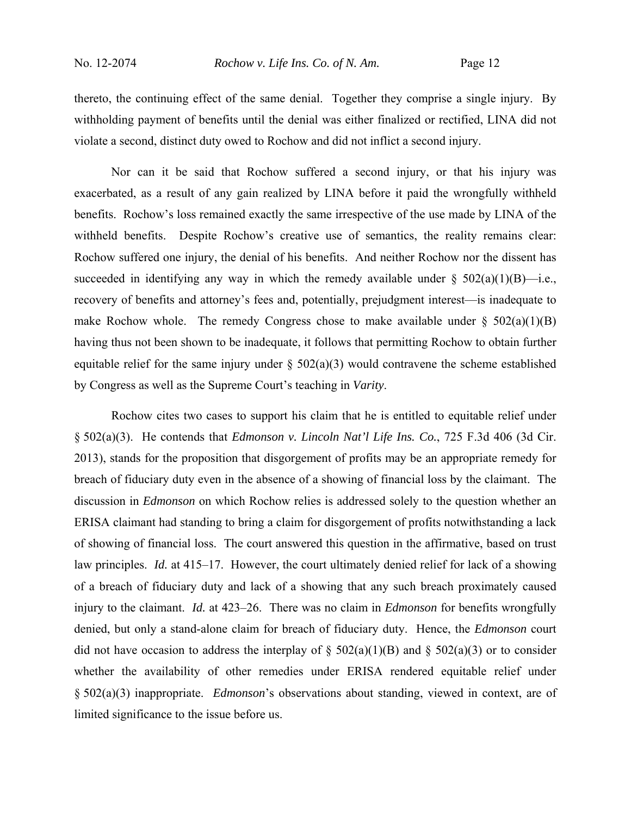thereto, the continuing effect of the same denial. Together they comprise a single injury. By withholding payment of benefits until the denial was either finalized or rectified, LINA did not violate a second, distinct duty owed to Rochow and did not inflict a second injury.

 Nor can it be said that Rochow suffered a second injury, or that his injury was exacerbated, as a result of any gain realized by LINA before it paid the wrongfully withheld benefits. Rochow's loss remained exactly the same irrespective of the use made by LINA of the withheld benefits. Despite Rochow's creative use of semantics, the reality remains clear: Rochow suffered one injury, the denial of his benefits. And neither Rochow nor the dissent has succeeded in identifying any way in which the remedy available under  $\S$  502(a)(1)(B)—i.e., recovery of benefits and attorney's fees and, potentially, prejudgment interest—is inadequate to make Rochow whole. The remedy Congress chose to make available under  $\S 502(a)(1)(B)$ having thus not been shown to be inadequate, it follows that permitting Rochow to obtain further equitable relief for the same injury under  $\S$  502(a)(3) would contravene the scheme established by Congress as well as the Supreme Court's teaching in *Varity*.

 Rochow cites two cases to support his claim that he is entitled to equitable relief under § 502(a)(3). He contends that *Edmonson v. Lincoln Nat'l Life Ins. Co.*, 725 F.3d 406 (3d Cir. 2013), stands for the proposition that disgorgement of profits may be an appropriate remedy for breach of fiduciary duty even in the absence of a showing of financial loss by the claimant. The discussion in *Edmonson* on which Rochow relies is addressed solely to the question whether an ERISA claimant had standing to bring a claim for disgorgement of profits notwithstanding a lack of showing of financial loss. The court answered this question in the affirmative, based on trust law principles. *Id.* at 415–17. However, the court ultimately denied relief for lack of a showing of a breach of fiduciary duty and lack of a showing that any such breach proximately caused injury to the claimant. *Id.* at 423–26. There was no claim in *Edmonson* for benefits wrongfully denied, but only a stand-alone claim for breach of fiduciary duty. Hence, the *Edmonson* court did not have occasion to address the interplay of  $\S 502(a)(1)(B)$  and  $\S 502(a)(3)$  or to consider whether the availability of other remedies under ERISA rendered equitable relief under § 502(a)(3) inappropriate. *Edmonson*'s observations about standing, viewed in context, are of limited significance to the issue before us.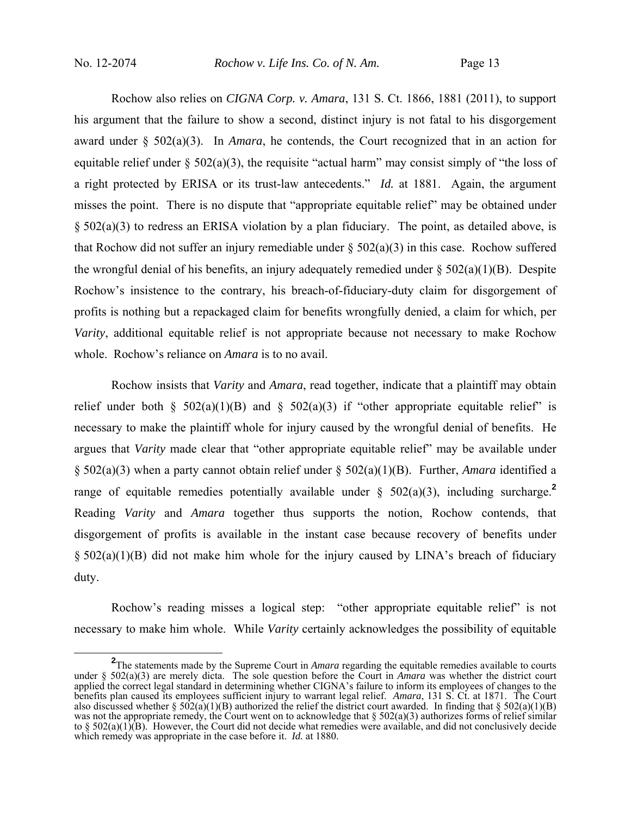Rochow also relies on *CIGNA Corp. v. Amara*, 131 S. Ct. 1866, 1881 (2011), to support his argument that the failure to show a second, distinct injury is not fatal to his disgorgement award under § 502(a)(3). In *Amara*, he contends, the Court recognized that in an action for equitable relief under  $\S$  502(a)(3), the requisite "actual harm" may consist simply of "the loss of a right protected by ERISA or its trust-law antecedents." *Id.* at 1881. Again, the argument misses the point. There is no dispute that "appropriate equitable relief" may be obtained under § 502(a)(3) to redress an ERISA violation by a plan fiduciary. The point, as detailed above, is that Rochow did not suffer an injury remediable under  $\S 502(a)(3)$  in this case. Rochow suffered the wrongful denial of his benefits, an injury adequately remedied under  $\S$  502(a)(1)(B). Despite Rochow's insistence to the contrary, his breach-of-fiduciary-duty claim for disgorgement of profits is nothing but a repackaged claim for benefits wrongfully denied, a claim for which, per *Varity*, additional equitable relief is not appropriate because not necessary to make Rochow whole. Rochow's reliance on *Amara* is to no avail.

 Rochow insists that *Varity* and *Amara*, read together, indicate that a plaintiff may obtain relief under both §  $502(a)(1)(B)$  and §  $502(a)(3)$  if "other appropriate equitable relief" is necessary to make the plaintiff whole for injury caused by the wrongful denial of benefits. He argues that *Varity* made clear that "other appropriate equitable relief" may be available under § 502(a)(3) when a party cannot obtain relief under § 502(a)(1)(B). Further, *Amara* identified a range of equitable remedies potentially available under  $\S$  502(a)(3), including surcharge.<sup>2</sup> Reading *Varity* and *Amara* together thus supports the notion, Rochow contends, that disgorgement of profits is available in the instant case because recovery of benefits under § 502(a)(1)(B) did not make him whole for the injury caused by LINA's breach of fiduciary duty.

 Rochow's reading misses a logical step: "other appropriate equitable relief" is not necessary to make him whole. While *Varity* certainly acknowledges the possibility of equitable

**<sup>2</sup>** <sup>2</sup>The statements made by the Supreme Court in *Amara* regarding the equitable remedies available to courts under § 502(a)(3) are merely dicta. The sole question before the Court in *Amara* was whether the district court applied the correct legal standard in determining whether CIGNA's failure to inform its employees of changes to the benefits plan caused its employees sufficient injury to warrant legal relief. *Amara*, 131 S. Ct. at 1871. The Court also discussed whether  $\S 502(a)(1)(B)$  authorized the relief the district court awarded. In finding that  $\S 502(a)(1)(B)$ was not the appropriate remedy, the Court went on to acknowledge that § 502(a)(3) authorizes forms of relief similar to  $\S$  502(a)(1)(B). However, the Court did not decide what remedies were available, and did not conclusively decide which remedy was appropriate in the case before it. *Id.* at 1880.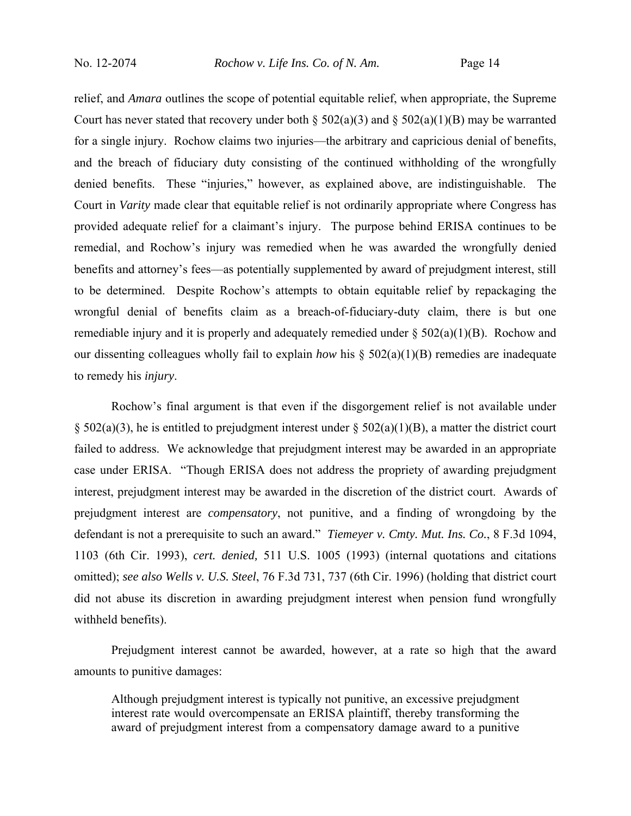relief, and *Amara* outlines the scope of potential equitable relief, when appropriate, the Supreme Court has never stated that recovery under both §  $502(a)(3)$  and §  $502(a)(1)(B)$  may be warranted for a single injury. Rochow claims two injuries—the arbitrary and capricious denial of benefits, and the breach of fiduciary duty consisting of the continued withholding of the wrongfully denied benefits. These "injuries," however, as explained above, are indistinguishable. The Court in *Varity* made clear that equitable relief is not ordinarily appropriate where Congress has provided adequate relief for a claimant's injury. The purpose behind ERISA continues to be remedial, and Rochow's injury was remedied when he was awarded the wrongfully denied benefits and attorney's fees—as potentially supplemented by award of prejudgment interest, still to be determined. Despite Rochow's attempts to obtain equitable relief by repackaging the wrongful denial of benefits claim as a breach-of-fiduciary-duty claim, there is but one remediable injury and it is properly and adequately remedied under § 502(a)(1)(B). Rochow and our dissenting colleagues wholly fail to explain *how* his § 502(a)(1)(B) remedies are inadequate to remedy his *injury*.

 Rochow's final argument is that even if the disgorgement relief is not available under  $\S$  502(a)(3), he is entitled to prejudgment interest under  $\S$  502(a)(1)(B), a matter the district court failed to address. We acknowledge that prejudgment interest may be awarded in an appropriate case under ERISA. "Though ERISA does not address the propriety of awarding prejudgment interest, prejudgment interest may be awarded in the discretion of the district court. Awards of prejudgment interest are *compensatory*, not punitive, and a finding of wrongdoing by the defendant is not a prerequisite to such an award." *Tiemeyer v. Cmty. Mut. Ins. Co.*, 8 F.3d 1094, 1103 (6th Cir. 1993), *cert. denied,* 511 U.S. 1005 (1993) (internal quotations and citations omitted); *see also Wells v. U.S. Steel*, 76 F.3d 731, 737 (6th Cir. 1996) (holding that district court did not abuse its discretion in awarding prejudgment interest when pension fund wrongfully withheld benefits).

 Prejudgment interest cannot be awarded, however, at a rate so high that the award amounts to punitive damages:

Although prejudgment interest is typically not punitive, an excessive prejudgment interest rate would overcompensate an ERISA plaintiff, thereby transforming the award of prejudgment interest from a compensatory damage award to a punitive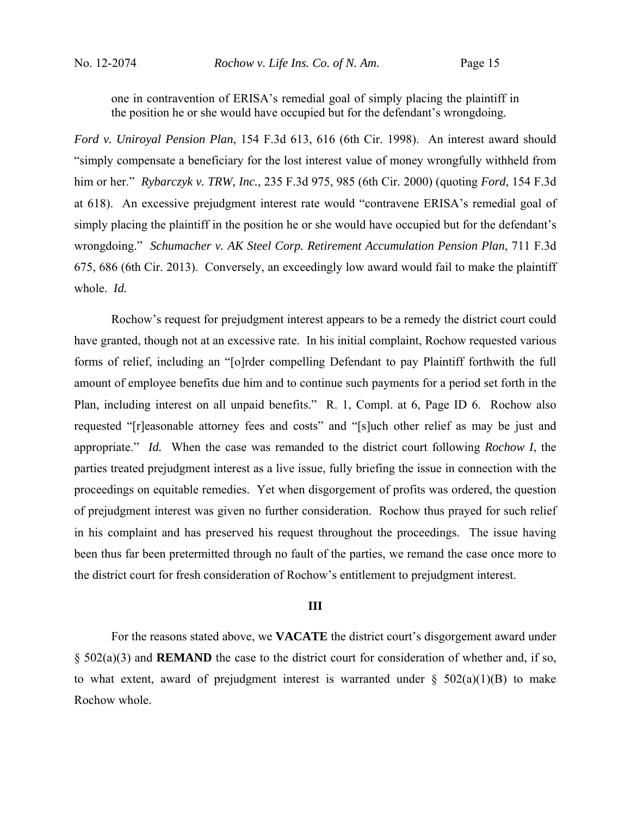one in contravention of ERISA's remedial goal of simply placing the plaintiff in the position he or she would have occupied but for the defendant's wrongdoing.

*Ford v. Uniroyal Pension Plan*, 154 F.3d 613, 616 (6th Cir. 1998). An interest award should "simply compensate a beneficiary for the lost interest value of money wrongfully withheld from him or her." *Rybarczyk v. TRW, Inc.*, 235 F.3d 975, 985 (6th Cir. 2000) (quoting *Ford*, 154 F.3d at 618). An excessive prejudgment interest rate would "contravene ERISA's remedial goal of simply placing the plaintiff in the position he or she would have occupied but for the defendant's wrongdoing." *Schumacher v. AK Steel Corp. Retirement Accumulation Pension Plan*, 711 F.3d 675, 686 (6th Cir. 2013). Conversely, an exceedingly low award would fail to make the plaintiff whole. *Id.*

 Rochow's request for prejudgment interest appears to be a remedy the district court could have granted, though not at an excessive rate. In his initial complaint, Rochow requested various forms of relief, including an "[o]rder compelling Defendant to pay Plaintiff forthwith the full amount of employee benefits due him and to continue such payments for a period set forth in the Plan, including interest on all unpaid benefits." R. 1, Compl. at 6, Page ID 6. Rochow also requested "[r]easonable attorney fees and costs" and "[s]uch other relief as may be just and appropriate." *Id.* When the case was remanded to the district court following *Rochow I*, the parties treated prejudgment interest as a live issue, fully briefing the issue in connection with the proceedings on equitable remedies. Yet when disgorgement of profits was ordered, the question of prejudgment interest was given no further consideration. Rochow thus prayed for such relief in his complaint and has preserved his request throughout the proceedings. The issue having been thus far been pretermitted through no fault of the parties, we remand the case once more to the district court for fresh consideration of Rochow's entitlement to prejudgment interest.

## **III**

 For the reasons stated above, we **VACATE** the district court's disgorgement award under § 502(a)(3) and **REMAND** the case to the district court for consideration of whether and, if so, to what extent, award of prejudgment interest is warranted under  $\S$  502(a)(1)(B) to make Rochow whole.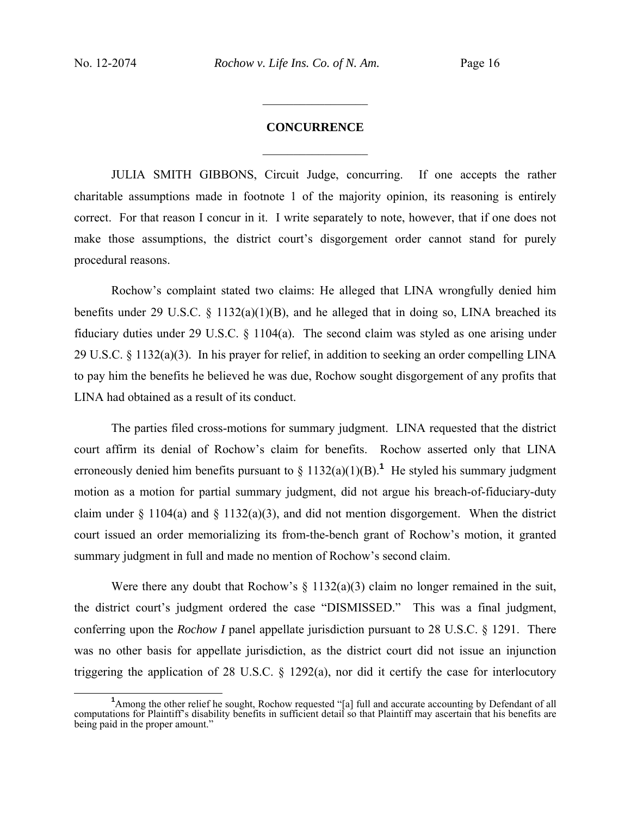# **CONCURRENCE**  $\frac{1}{2}$

 $\frac{1}{2}$ 

JULIA SMITH GIBBONS, Circuit Judge, concurring.If one accepts the rather charitable assumptions made in footnote 1 of the majority opinion, its reasoning is entirely correct. For that reason I concur in it. I write separately to note, however, that if one does not make those assumptions, the district court's disgorgement order cannot stand for purely procedural reasons.

Rochow's complaint stated two claims: He alleged that LINA wrongfully denied him benefits under 29 U.S.C.  $\S$  1132(a)(1)(B), and he alleged that in doing so, LINA breached its fiduciary duties under 29 U.S.C. § 1104(a). The second claim was styled as one arising under 29 U.S.C. § 1132(a)(3). In his prayer for relief, in addition to seeking an order compelling LINA to pay him the benefits he believed he was due, Rochow sought disgorgement of any profits that LINA had obtained as a result of its conduct.

The parties filed cross-motions for summary judgment. LINA requested that the district court affirm its denial of Rochow's claim for benefits. Rochow asserted only that LINA erroneously denied him benefits pursuant to  $\S 1132(a)(1)(B)$ .<sup>1</sup> He styled his summary judgment motion as a motion for partial summary judgment, did not argue his breach-of-fiduciary-duty claim under  $\S 1104(a)$  and  $\S 1132(a)(3)$ , and did not mention disgorgement. When the district court issued an order memorializing its from-the-bench grant of Rochow's motion, it granted summary judgment in full and made no mention of Rochow's second claim.

Were there any doubt that Rochow's  $\S$  1132(a)(3) claim no longer remained in the suit, the district court's judgment ordered the case "DISMISSED." This was a final judgment, conferring upon the *Rochow I* panel appellate jurisdiction pursuant to 28 U.S.C. § 1291. There was no other basis for appellate jurisdiction, as the district court did not issue an injunction triggering the application of 28 U.S.C. § 1292(a), nor did it certify the case for interlocutory

<sup>&</sup>lt;sup>1</sup> Among the other relief he sought, Rochow requested "[a] full and accurate accounting by Defendant of all computations for Plaintiff's disability benefits in sufficient detail so that Plaintiff may ascertain that his benefits are being paid in the proper amount."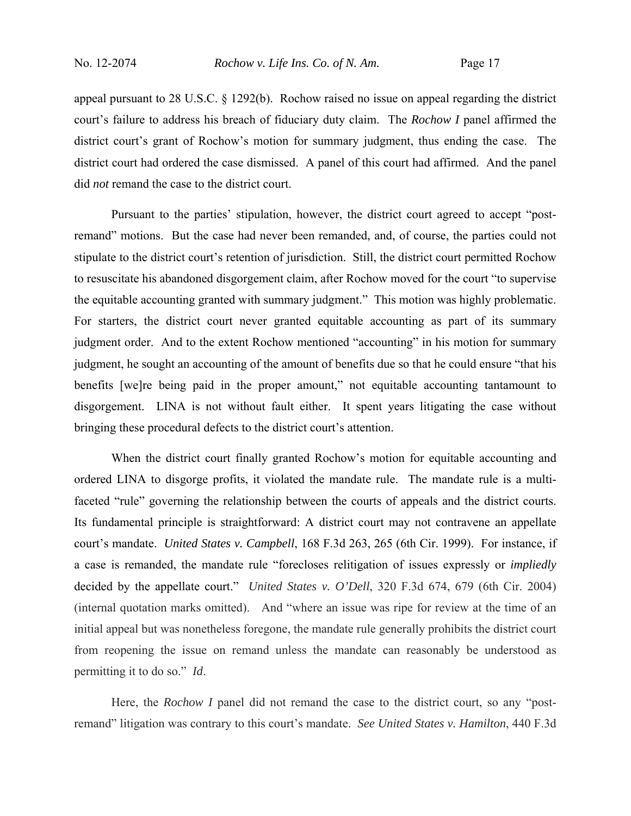appeal pursuant to 28 U.S.C. § 1292(b). Rochow raised no issue on appeal regarding the district court's failure to address his breach of fiduciary duty claim. The *Rochow I* panel affirmed the district court's grant of Rochow's motion for summary judgment, thus ending the case. The district court had ordered the case dismissed. A panel of this court had affirmed. And the panel did *not* remand the case to the district court.

Pursuant to the parties' stipulation, however, the district court agreed to accept "postremand" motions. But the case had never been remanded, and, of course, the parties could not stipulate to the district court's retention of jurisdiction. Still, the district court permitted Rochow to resuscitate his abandoned disgorgement claim, after Rochow moved for the court "to supervise the equitable accounting granted with summary judgment." This motion was highly problematic. For starters, the district court never granted equitable accounting as part of its summary judgment order. And to the extent Rochow mentioned "accounting" in his motion for summary judgment, he sought an accounting of the amount of benefits due so that he could ensure "that his benefits [we]re being paid in the proper amount," not equitable accounting tantamount to disgorgement. LINA is not without fault either. It spent years litigating the case without bringing these procedural defects to the district court's attention.

When the district court finally granted Rochow's motion for equitable accounting and ordered LINA to disgorge profits, it violated the mandate rule. The mandate rule is a multifaceted "rule" governing the relationship between the courts of appeals and the district courts. Its fundamental principle is straightforward: A district court may not contravene an appellate court's mandate. *United States v. Campbell*, 168 F.3d 263, 265 (6th Cir. 1999). For instance, if a case is remanded, the mandate rule "forecloses relitigation of issues expressly or *impliedly*  decided by the appellate court." *United States v. O'Dell*, 320 F.3d 674, 679 (6th Cir. 2004) (internal quotation marks omitted). And "where an issue was ripe for review at the time of an initial appeal but was nonetheless foregone, the mandate rule generally prohibits the district court from reopening the issue on remand unless the mandate can reasonably be understood as permitting it to do so." *Id*.

Here, the *Rochow I* panel did not remand the case to the district court, so any "postremand" litigation was contrary to this court's mandate. *See United States v. Hamilton*, 440 F.3d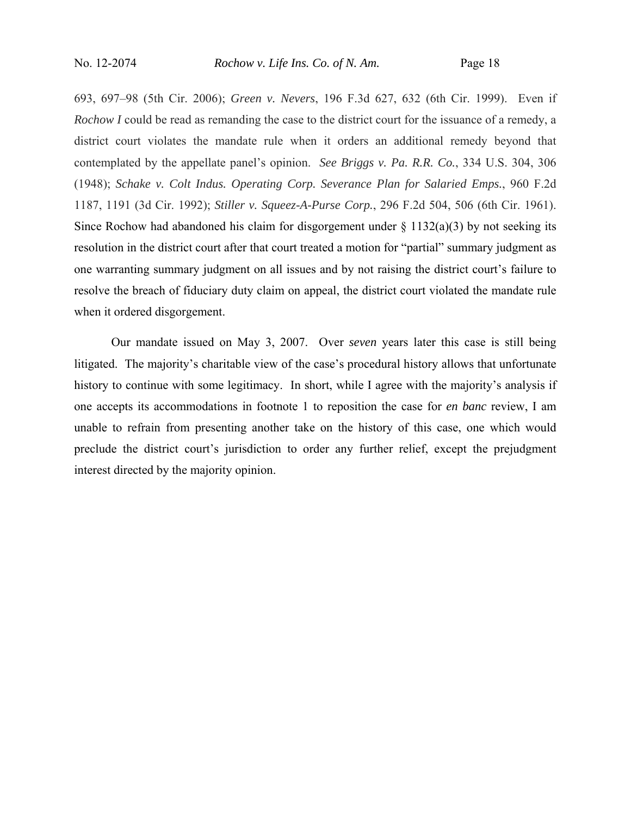693, 697–98 (5th Cir. 2006); *Green v. Nevers*, 196 F.3d 627, 632 (6th Cir. 1999). Even if *Rochow I* could be read as remanding the case to the district court for the issuance of a remedy, a district court violates the mandate rule when it orders an additional remedy beyond that contemplated by the appellate panel's opinion. *See Briggs v. Pa. R.R. Co.*, 334 U.S. 304, 306 (1948); *Schake v. Colt Indus. Operating Corp. Severance Plan for Salaried Emps.*, 960 F.2d 1187, 1191 (3d Cir. 1992); *Stiller v. Squeez-A-Purse Corp.*, 296 F.2d 504, 506 (6th Cir. 1961). Since Rochow had abandoned his claim for disgorgement under  $\S 1132(a)(3)$  by not seeking its resolution in the district court after that court treated a motion for "partial" summary judgment as one warranting summary judgment on all issues and by not raising the district court's failure to resolve the breach of fiduciary duty claim on appeal, the district court violated the mandate rule when it ordered disgorgement.

Our mandate issued on May 3, 2007. Over *seven* years later this case is still being litigated. The majority's charitable view of the case's procedural history allows that unfortunate history to continue with some legitimacy. In short, while I agree with the majority's analysis if one accepts its accommodations in footnote 1 to reposition the case for *en banc* review, I am unable to refrain from presenting another take on the history of this case, one which would preclude the district court's jurisdiction to order any further relief, except the prejudgment interest directed by the majority opinion.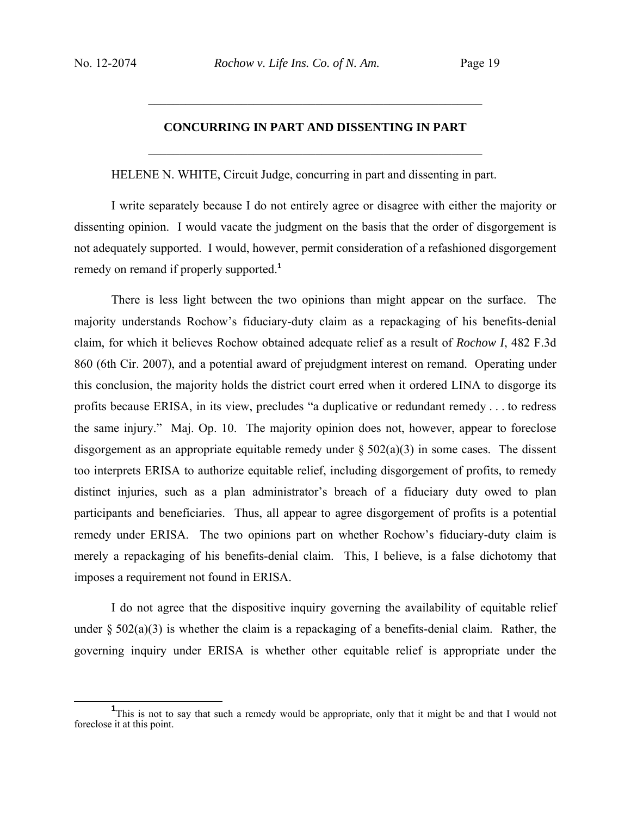# **CONCURRING IN PART AND DISSENTING IN PART**  $\mathcal{L}_\text{max}$  , and the contract of the contract of the contract of the contract of the contract of the contract of the contract of the contract of the contract of the contract of the contract of the contract of the contr

 $\mathcal{L}_\text{max}$  , and the contract of the contract of the contract of the contract of the contract of the contract of the contract of the contract of the contract of the contract of the contract of the contract of the contr

HELENE N. WHITE, Circuit Judge, concurring in part and dissenting in part.

I write separately because I do not entirely agree or disagree with either the majority or dissenting opinion. I would vacate the judgment on the basis that the order of disgorgement is not adequately supported. I would, however, permit consideration of a refashioned disgorgement remedy on remand if properly supported.**<sup>1</sup>**

There is less light between the two opinions than might appear on the surface. The majority understands Rochow's fiduciary-duty claim as a repackaging of his benefits-denial claim, for which it believes Rochow obtained adequate relief as a result of *Rochow I*, 482 F.3d 860 (6th Cir. 2007), and a potential award of prejudgment interest on remand. Operating under this conclusion, the majority holds the district court erred when it ordered LINA to disgorge its profits because ERISA, in its view, precludes "a duplicative or redundant remedy . . . to redress the same injury." Maj. Op. 10. The majority opinion does not, however, appear to foreclose disgorgement as an appropriate equitable remedy under  $\S 502(a)(3)$  in some cases. The dissent too interprets ERISA to authorize equitable relief, including disgorgement of profits, to remedy distinct injuries, such as a plan administrator's breach of a fiduciary duty owed to plan participants and beneficiaries. Thus, all appear to agree disgorgement of profits is a potential remedy under ERISA. The two opinions part on whether Rochow's fiduciary-duty claim is merely a repackaging of his benefits-denial claim. This, I believe, is a false dichotomy that imposes a requirement not found in ERISA.

I do not agree that the dispositive inquiry governing the availability of equitable relief under  $\S 502(a)(3)$  is whether the claim is a repackaging of a benefits-denial claim. Rather, the governing inquiry under ERISA is whether other equitable relief is appropriate under the

<sup>&</sup>lt;u>1</u> <sup>1</sup>This is not to say that such a remedy would be appropriate, only that it might be and that I would not foreclose it at this point.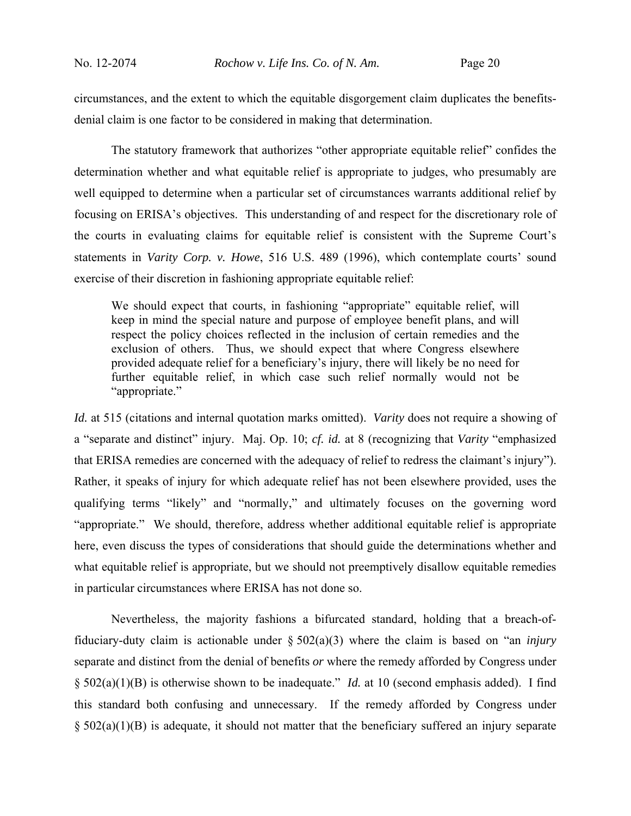circumstances, and the extent to which the equitable disgorgement claim duplicates the benefitsdenial claim is one factor to be considered in making that determination.

The statutory framework that authorizes "other appropriate equitable relief" confides the determination whether and what equitable relief is appropriate to judges, who presumably are well equipped to determine when a particular set of circumstances warrants additional relief by focusing on ERISA's objectives. This understanding of and respect for the discretionary role of the courts in evaluating claims for equitable relief is consistent with the Supreme Court's statements in *Varity Corp. v. Howe*, 516 U.S. 489 (1996), which contemplate courts' sound exercise of their discretion in fashioning appropriate equitable relief:

We should expect that courts, in fashioning "appropriate" equitable relief, will keep in mind the special nature and purpose of employee benefit plans, and will respect the policy choices reflected in the inclusion of certain remedies and the exclusion of others. Thus, we should expect that where Congress elsewhere provided adequate relief for a beneficiary's injury, there will likely be no need for further equitable relief, in which case such relief normally would not be "appropriate."

*Id.* at 515 (citations and internal quotation marks omitted). *Varity* does not require a showing of a "separate and distinct" injury. Maj. Op. 10; *cf. id.* at 8 (recognizing that *Varity* "emphasized that ERISA remedies are concerned with the adequacy of relief to redress the claimant's injury"). Rather, it speaks of injury for which adequate relief has not been elsewhere provided, uses the qualifying terms "likely" and "normally," and ultimately focuses on the governing word "appropriate." We should, therefore, address whether additional equitable relief is appropriate here, even discuss the types of considerations that should guide the determinations whether and what equitable relief is appropriate, but we should not preemptively disallow equitable remedies in particular circumstances where ERISA has not done so.

Nevertheless, the majority fashions a bifurcated standard, holding that a breach-offiduciary-duty claim is actionable under § 502(a)(3) where the claim is based on "an *injury* separate and distinct from the denial of benefits *or* where the remedy afforded by Congress under § 502(a)(1)(B) is otherwise shown to be inadequate." *Id.* at 10 (second emphasis added). I find this standard both confusing and unnecessary. If the remedy afforded by Congress under  $\S$  502(a)(1)(B) is adequate, it should not matter that the beneficiary suffered an injury separate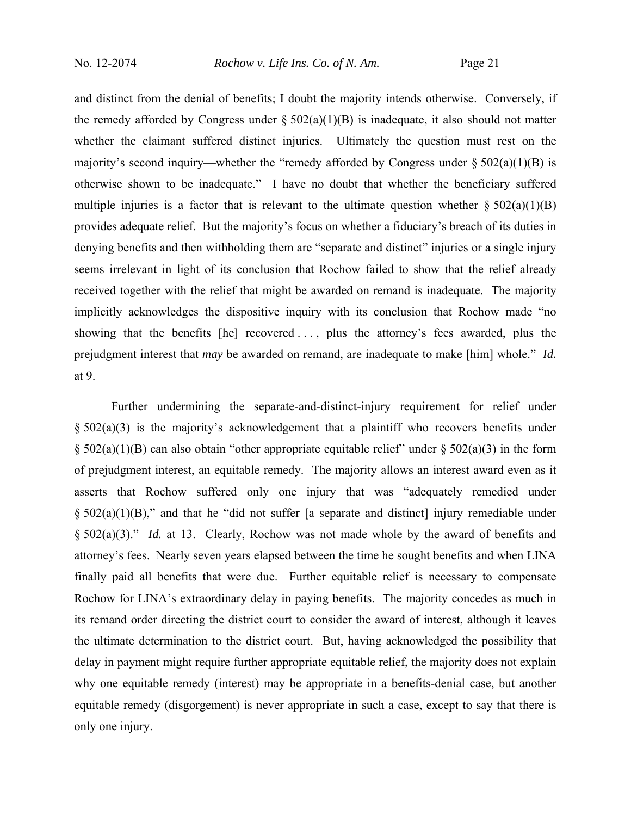and distinct from the denial of benefits; I doubt the majority intends otherwise. Conversely, if the remedy afforded by Congress under  $\S 502(a)(1)(B)$  is inadequate, it also should not matter whether the claimant suffered distinct injuries. Ultimately the question must rest on the majority's second inquiry—whether the "remedy afforded by Congress under  $\S 502(a)(1)(B)$  is otherwise shown to be inadequate." I have no doubt that whether the beneficiary suffered multiple injuries is a factor that is relevant to the ultimate question whether  $\S 502(a)(1)(B)$ provides adequate relief. But the majority's focus on whether a fiduciary's breach of its duties in denying benefits and then withholding them are "separate and distinct" injuries or a single injury seems irrelevant in light of its conclusion that Rochow failed to show that the relief already received together with the relief that might be awarded on remand is inadequate. The majority implicitly acknowledges the dispositive inquiry with its conclusion that Rochow made "no showing that the benefits [he] recovered . . . , plus the attorney's fees awarded, plus the prejudgment interest that *may* be awarded on remand, are inadequate to make [him] whole." *Id.* at 9.

Further undermining the separate-and-distinct-injury requirement for relief under  $\S$  502(a)(3) is the majority's acknowledgement that a plaintiff who recovers benefits under  $\S$  502(a)(1)(B) can also obtain "other appropriate equitable relief" under  $\S$  502(a)(3) in the form of prejudgment interest, an equitable remedy. The majority allows an interest award even as it asserts that Rochow suffered only one injury that was "adequately remedied under  $§$  502(a)(1)(B)," and that he "did not suffer [a separate and distinct] injury remediable under § 502(a)(3)." *Id.* at 13. Clearly, Rochow was not made whole by the award of benefits and attorney's fees. Nearly seven years elapsed between the time he sought benefits and when LINA finally paid all benefits that were due. Further equitable relief is necessary to compensate Rochow for LINA's extraordinary delay in paying benefits. The majority concedes as much in its remand order directing the district court to consider the award of interest, although it leaves the ultimate determination to the district court. But, having acknowledged the possibility that delay in payment might require further appropriate equitable relief, the majority does not explain why one equitable remedy (interest) may be appropriate in a benefits-denial case, but another equitable remedy (disgorgement) is never appropriate in such a case, except to say that there is only one injury.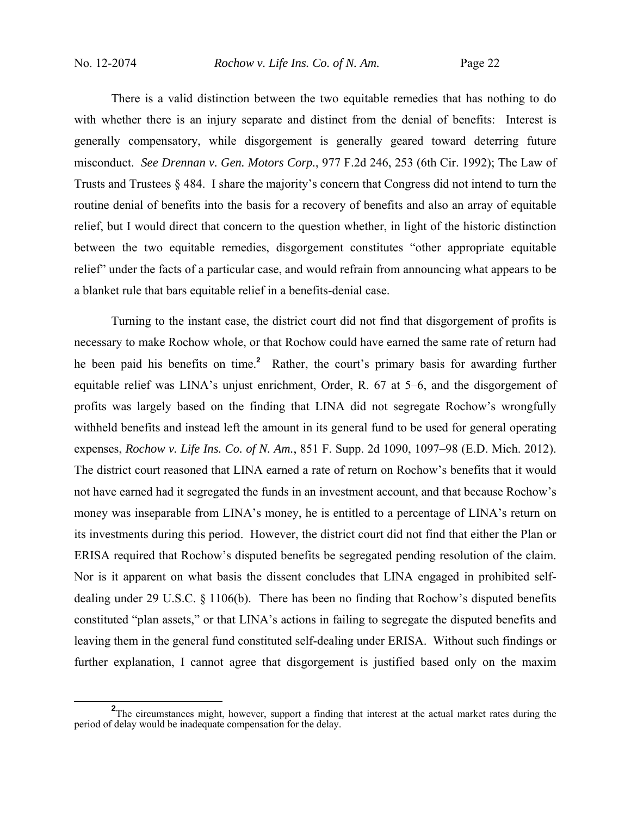There is a valid distinction between the two equitable remedies that has nothing to do with whether there is an injury separate and distinct from the denial of benefits: Interest is generally compensatory, while disgorgement is generally geared toward deterring future misconduct. *See Drennan v. Gen. Motors Corp.*, 977 F.2d 246, 253 (6th Cir. 1992); The Law of Trusts and Trustees § 484. I share the majority's concern that Congress did not intend to turn the routine denial of benefits into the basis for a recovery of benefits and also an array of equitable relief, but I would direct that concern to the question whether, in light of the historic distinction between the two equitable remedies, disgorgement constitutes "other appropriate equitable relief" under the facts of a particular case, and would refrain from announcing what appears to be a blanket rule that bars equitable relief in a benefits-denial case.

Turning to the instant case, the district court did not find that disgorgement of profits is necessary to make Rochow whole, or that Rochow could have earned the same rate of return had he been paid his benefits on time.**<sup>2</sup>** Rather, the court's primary basis for awarding further equitable relief was LINA's unjust enrichment, Order, R. 67 at 5–6, and the disgorgement of profits was largely based on the finding that LINA did not segregate Rochow's wrongfully withheld benefits and instead left the amount in its general fund to be used for general operating expenses, *Rochow v. Life Ins. Co. of N. Am.*, 851 F. Supp. 2d 1090, 1097–98 (E.D. Mich. 2012). The district court reasoned that LINA earned a rate of return on Rochow's benefits that it would not have earned had it segregated the funds in an investment account, and that because Rochow's money was inseparable from LINA's money, he is entitled to a percentage of LINA's return on its investments during this period. However, the district court did not find that either the Plan or ERISA required that Rochow's disputed benefits be segregated pending resolution of the claim. Nor is it apparent on what basis the dissent concludes that LINA engaged in prohibited selfdealing under 29 U.S.C. § 1106(b). There has been no finding that Rochow's disputed benefits constituted "plan assets," or that LINA's actions in failing to segregate the disputed benefits and leaving them in the general fund constituted self-dealing under ERISA. Without such findings or further explanation, I cannot agree that disgorgement is justified based only on the maxim

<sup>&</sup>lt;sup>2</sup>The circumstances might, however, support a finding that interest at the actual market rates during the period of delay would be inadequate compensation for the delay.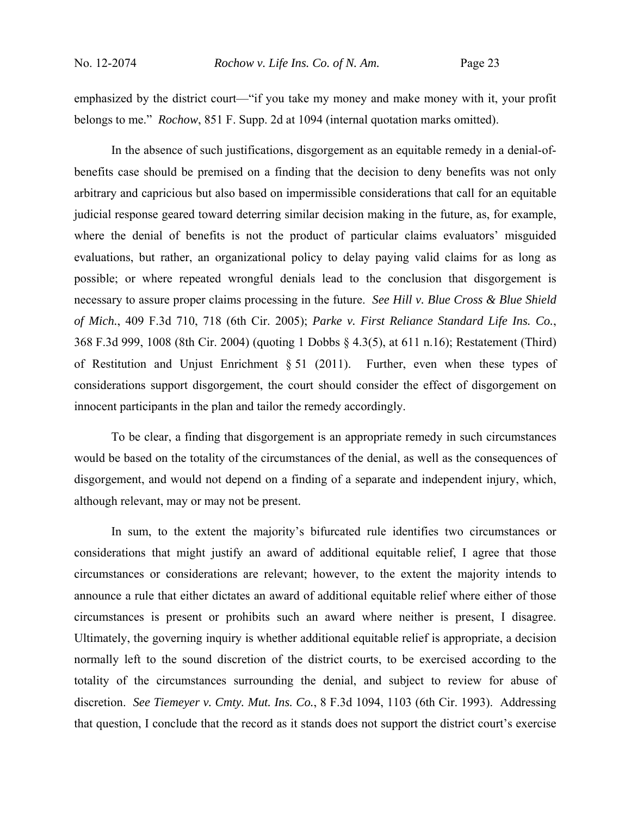emphasized by the district court—"if you take my money and make money with it, your profit belongs to me." *Rochow*, 851 F. Supp. 2d at 1094 (internal quotation marks omitted).

In the absence of such justifications, disgorgement as an equitable remedy in a denial-ofbenefits case should be premised on a finding that the decision to deny benefits was not only arbitrary and capricious but also based on impermissible considerations that call for an equitable judicial response geared toward deterring similar decision making in the future, as, for example, where the denial of benefits is not the product of particular claims evaluators' misguided evaluations, but rather, an organizational policy to delay paying valid claims for as long as possible; or where repeated wrongful denials lead to the conclusion that disgorgement is necessary to assure proper claims processing in the future. *See Hill v. Blue Cross & Blue Shield of Mich.*, 409 F.3d 710, 718 (6th Cir. 2005); *Parke v. First Reliance Standard Life Ins. Co.*, 368 F.3d 999, 1008 (8th Cir. 2004) (quoting 1 Dobbs § 4.3(5), at 611 n.16); Restatement (Third) of Restitution and Unjust Enrichment § 51 (2011). Further, even when these types of considerations support disgorgement, the court should consider the effect of disgorgement on innocent participants in the plan and tailor the remedy accordingly.

To be clear, a finding that disgorgement is an appropriate remedy in such circumstances would be based on the totality of the circumstances of the denial, as well as the consequences of disgorgement, and would not depend on a finding of a separate and independent injury, which, although relevant, may or may not be present.

In sum, to the extent the majority's bifurcated rule identifies two circumstances or considerations that might justify an award of additional equitable relief, I agree that those circumstances or considerations are relevant; however, to the extent the majority intends to announce a rule that either dictates an award of additional equitable relief where either of those circumstances is present or prohibits such an award where neither is present, I disagree. Ultimately, the governing inquiry is whether additional equitable relief is appropriate, a decision normally left to the sound discretion of the district courts, to be exercised according to the totality of the circumstances surrounding the denial, and subject to review for abuse of discretion. *See Tiemeyer v. Cmty. Mut. Ins. Co.*, 8 F.3d 1094, 1103 (6th Cir. 1993). Addressing that question, I conclude that the record as it stands does not support the district court's exercise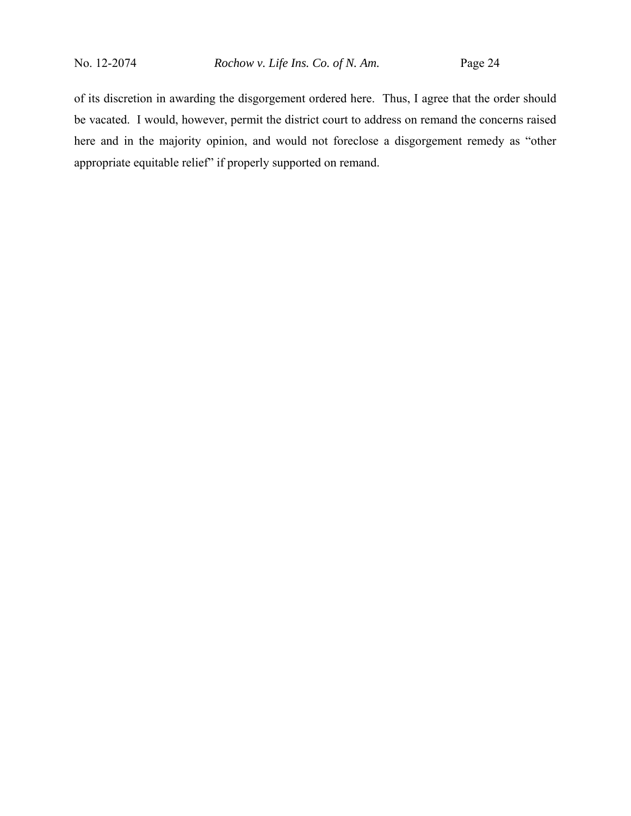of its discretion in awarding the disgorgement ordered here. Thus, I agree that the order should be vacated. I would, however, permit the district court to address on remand the concerns raised here and in the majority opinion, and would not foreclose a disgorgement remedy as "other appropriate equitable relief" if properly supported on remand.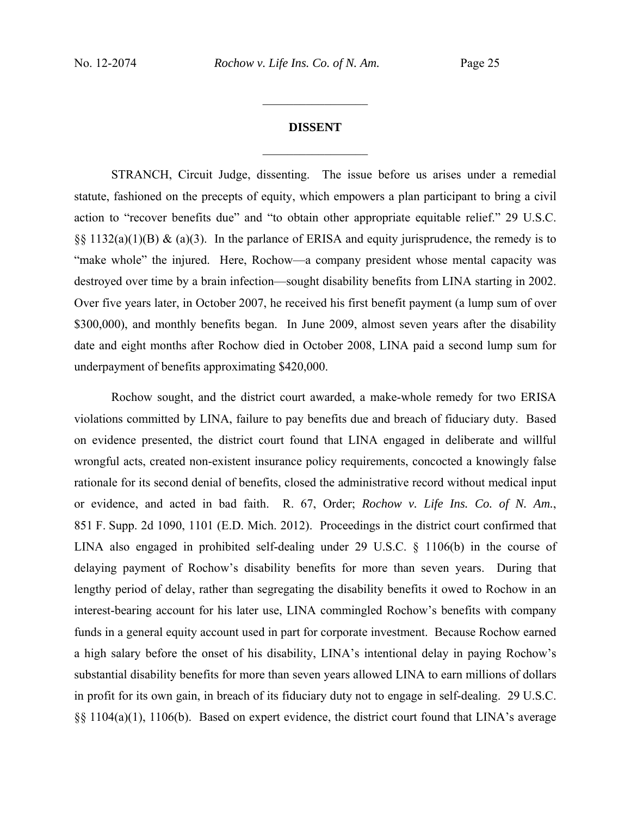# **DISSENT**  $\frac{1}{2}$

 $\frac{1}{2}$ 

STRANCH, Circuit Judge, dissenting. The issue before us arises under a remedial statute, fashioned on the precepts of equity, which empowers a plan participant to bring a civil action to "recover benefits due" and "to obtain other appropriate equitable relief." 29 U.S.C.  $\S$ § 1132(a)(1)(B) & (a)(3). In the parlance of ERISA and equity jurisprudence, the remedy is to "make whole" the injured. Here, Rochow—a company president whose mental capacity was destroyed over time by a brain infection—sought disability benefits from LINA starting in 2002. Over five years later, in October 2007, he received his first benefit payment (a lump sum of over \$300,000), and monthly benefits began. In June 2009, almost seven years after the disability date and eight months after Rochow died in October 2008, LINA paid a second lump sum for underpayment of benefits approximating \$420,000.

Rochow sought, and the district court awarded, a make-whole remedy for two ERISA violations committed by LINA, failure to pay benefits due and breach of fiduciary duty. Based on evidence presented, the district court found that LINA engaged in deliberate and willful wrongful acts, created non-existent insurance policy requirements, concocted a knowingly false rationale for its second denial of benefits, closed the administrative record without medical input or evidence, and acted in bad faith. R. 67, Order; *Rochow v. Life Ins. Co. of N. Am.*, 851 F. Supp. 2d 1090, 1101 (E.D. Mich. 2012). Proceedings in the district court confirmed that LINA also engaged in prohibited self-dealing under 29 U.S.C. § 1106(b) in the course of delaying payment of Rochow's disability benefits for more than seven years. During that lengthy period of delay, rather than segregating the disability benefits it owed to Rochow in an interest-bearing account for his later use, LINA commingled Rochow's benefits with company funds in a general equity account used in part for corporate investment. Because Rochow earned a high salary before the onset of his disability, LINA's intentional delay in paying Rochow's substantial disability benefits for more than seven years allowed LINA to earn millions of dollars in profit for its own gain, in breach of its fiduciary duty not to engage in self-dealing. 29 U.S.C. §§ 1104(a)(1), 1106(b). Based on expert evidence, the district court found that LINA's average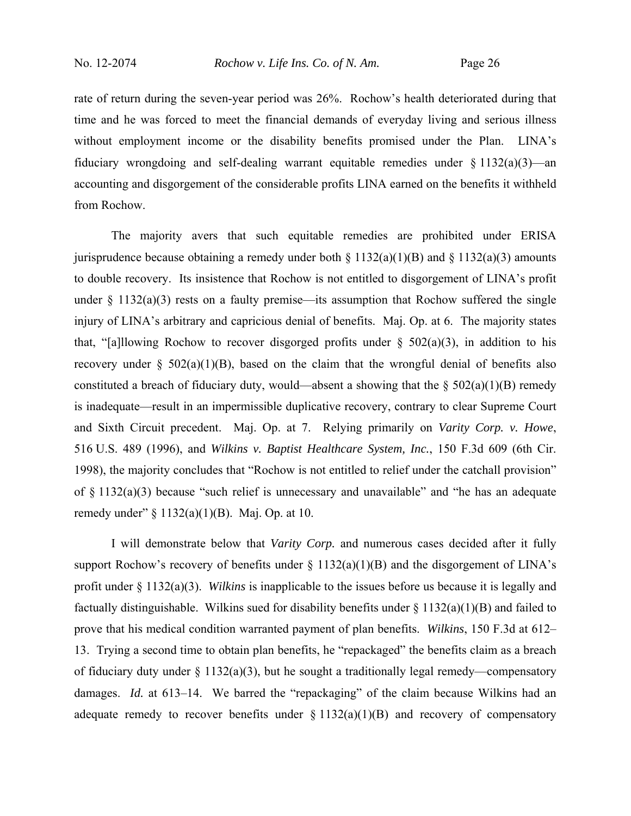rate of return during the seven-year period was 26%. Rochow's health deteriorated during that time and he was forced to meet the financial demands of everyday living and serious illness without employment income or the disability benefits promised under the Plan. LINA's fiduciary wrongdoing and self-dealing warrant equitable remedies under  $\S 1132(a)(3)$ —an accounting and disgorgement of the considerable profits LINA earned on the benefits it withheld from Rochow.

The majority avers that such equitable remedies are prohibited under ERISA jurisprudence because obtaining a remedy under both  $\S 1132(a)(1)(B)$  and  $\S 1132(a)(3)$  amounts to double recovery. Its insistence that Rochow is not entitled to disgorgement of LINA's profit under  $\S$  1132(a)(3) rests on a faulty premise—its assumption that Rochow suffered the single injury of LINA's arbitrary and capricious denial of benefits. Maj. Op. at 6. The majority states that, "[a]llowing Rochow to recover disgorged profits under  $\S$  502(a)(3), in addition to his recovery under  $\S$  502(a)(1)(B), based on the claim that the wrongful denial of benefits also constituted a breach of fiduciary duty, would—absent a showing that the  $\S 502(a)(1)(B)$  remedy is inadequate—result in an impermissible duplicative recovery, contrary to clear Supreme Court and Sixth Circuit precedent. Maj. Op. at 7. Relying primarily on *Varity Corp. v. Howe*, 516 U.S. 489 (1996), and *Wilkins v. Baptist Healthcare System, Inc.*, 150 F.3d 609 (6th Cir. 1998), the majority concludes that "Rochow is not entitled to relief under the catchall provision" of  $\S$  1132(a)(3) because "such relief is unnecessary and unavailable" and "he has an adequate remedy under" § 1132(a)(1)(B). Maj. Op. at 10.

I will demonstrate below that *Varity Corp.* and numerous cases decided after it fully support Rochow's recovery of benefits under  $\S$  1132(a)(1)(B) and the disgorgement of LINA's profit under § 1132(a)(3). *Wilkins* is inapplicable to the issues before us because it is legally and factually distinguishable. Wilkins sued for disability benefits under § 1132(a)(1)(B) and failed to prove that his medical condition warranted payment of plan benefits. *Wilkins*, 150 F.3d at 612– 13. Trying a second time to obtain plan benefits, he "repackaged" the benefits claim as a breach of fiduciary duty under  $\S 1132(a)(3)$ , but he sought a traditionally legal remedy—compensatory damages. *Id.* at 613–14. We barred the "repackaging" of the claim because Wilkins had an adequate remedy to recover benefits under  $\S 1132(a)(1)(B)$  and recovery of compensatory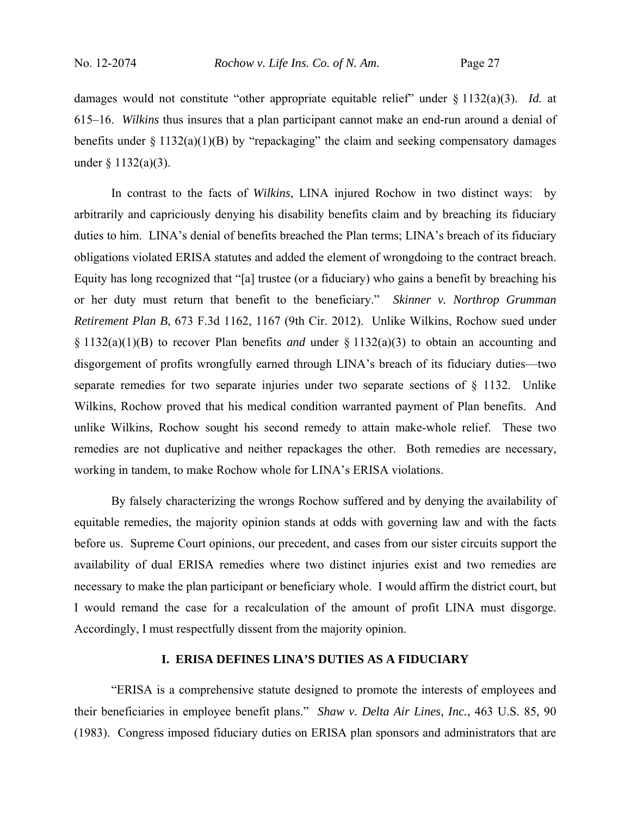damages would not constitute "other appropriate equitable relief" under § 1132(a)(3). *Id.* at 615–16. *Wilkins* thus insures that a plan participant cannot make an end-run around a denial of benefits under  $\S 1132(a)(1)(B)$  by "repackaging" the claim and seeking compensatory damages under  $\S$  1132(a)(3).

In contrast to the facts of *Wilkins*, LINA injured Rochow in two distinct ways: by arbitrarily and capriciously denying his disability benefits claim and by breaching its fiduciary duties to him. LINA's denial of benefits breached the Plan terms; LINA's breach of its fiduciary obligations violated ERISA statutes and added the element of wrongdoing to the contract breach. Equity has long recognized that "[a] trustee (or a fiduciary) who gains a benefit by breaching his or her duty must return that benefit to the beneficiary." *Skinner v. Northrop Grumman Retirement Plan B*, 673 F.3d 1162, 1167 (9th Cir. 2012). Unlike Wilkins, Rochow sued under § 1132(a)(1)(B) to recover Plan benefits *and* under § 1132(a)(3) to obtain an accounting and disgorgement of profits wrongfully earned through LINA's breach of its fiduciary duties—two separate remedies for two separate injuries under two separate sections of § 1132. Unlike Wilkins, Rochow proved that his medical condition warranted payment of Plan benefits. And unlike Wilkins, Rochow sought his second remedy to attain make-whole relief. These two remedies are not duplicative and neither repackages the other. Both remedies are necessary, working in tandem, to make Rochow whole for LINA's ERISA violations.

By falsely characterizing the wrongs Rochow suffered and by denying the availability of equitable remedies, the majority opinion stands at odds with governing law and with the facts before us. Supreme Court opinions, our precedent, and cases from our sister circuits support the availability of dual ERISA remedies where two distinct injuries exist and two remedies are necessary to make the plan participant or beneficiary whole. I would affirm the district court, but I would remand the case for a recalculation of the amount of profit LINA must disgorge. Accordingly, I must respectfully dissent from the majority opinion.

## **I. ERISA DEFINES LINA'S DUTIES AS A FIDUCIARY**

"ERISA is a comprehensive statute designed to promote the interests of employees and their beneficiaries in employee benefit plans." *Shaw v. Delta Air Lines, Inc.*, 463 U.S. 85, 90 (1983). Congress imposed fiduciary duties on ERISA plan sponsors and administrators that are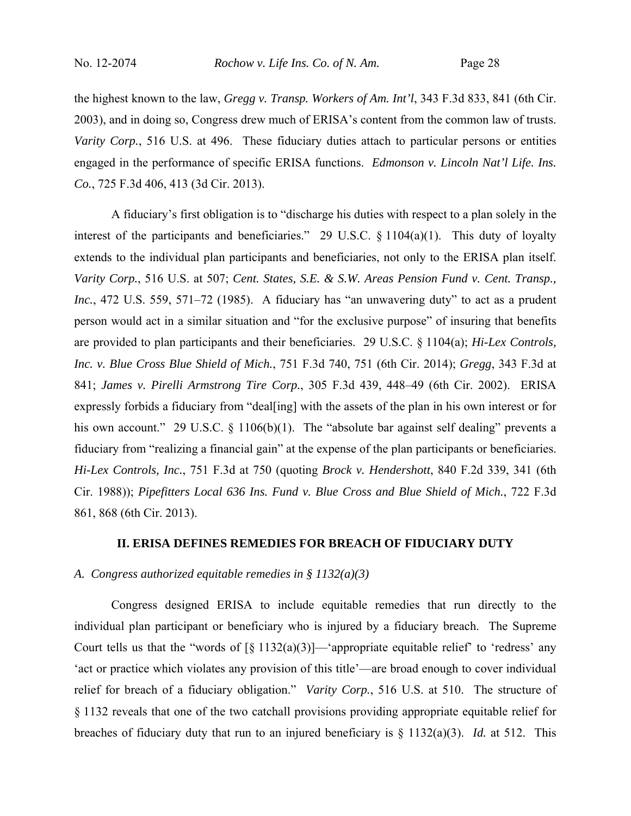the highest known to the law, *Gregg v. Transp. Workers of Am. Int'l*, 343 F.3d 833, 841 (6th Cir. 2003), and in doing so, Congress drew much of ERISA's content from the common law of trusts. *Varity Corp.*, 516 U.S. at 496. These fiduciary duties attach to particular persons or entities engaged in the performance of specific ERISA functions. *Edmonson v. Lincoln Nat'l Life. Ins. Co.*, 725 F.3d 406, 413 (3d Cir. 2013).

A fiduciary's first obligation is to "discharge his duties with respect to a plan solely in the interest of the participants and beneficiaries." 29 U.S.C. § 1104(a)(1). This duty of loyalty extends to the individual plan participants and beneficiaries, not only to the ERISA plan itself. *Varity Corp.*, 516 U.S. at 507; *Cent. States, S.E. & S.W. Areas Pension Fund v. Cent. Transp., Inc.*, 472 U.S. 559, 571–72 (1985). A fiduciary has "an unwavering duty" to act as a prudent person would act in a similar situation and "for the exclusive purpose" of insuring that benefits are provided to plan participants and their beneficiaries. 29 U.S.C. § 1104(a); *Hi-Lex Controls, Inc. v. Blue Cross Blue Shield of Mich.*, 751 F.3d 740, 751 (6th Cir. 2014); *Gregg*, 343 F.3d at 841; *James v. Pirelli Armstrong Tire Corp.*, 305 F.3d 439, 448–49 (6th Cir. 2002). ERISA expressly forbids a fiduciary from "deal[ing] with the assets of the plan in his own interest or for his own account." 29 U.S.C. § 1106(b)(1). The "absolute bar against self dealing" prevents a fiduciary from "realizing a financial gain" at the expense of the plan participants or beneficiaries. *Hi-Lex Controls, Inc.*, 751 F.3d at 750 (quoting *Brock v. Hendershott*, 840 F.2d 339, 341 (6th Cir. 1988)); *Pipefitters Local 636 Ins. Fund v. Blue Cross and Blue Shield of Mich.*, 722 F.3d 861, 868 (6th Cir. 2013).

## **II. ERISA DEFINES REMEDIES FOR BREACH OF FIDUCIARY DUTY**

### *A. Congress authorized equitable remedies in § 1132(a)(3)*

Congress designed ERISA to include equitable remedies that run directly to the individual plan participant or beneficiary who is injured by a fiduciary breach. The Supreme Court tells us that the "words of  $\lceil \xi \ 1132(a)(3) \rceil$  "appropriate equitable relief" to 'redress' any 'act or practice which violates any provision of this title'—are broad enough to cover individual relief for breach of a fiduciary obligation." *Varity Corp.*, 516 U.S. at 510. The structure of § 1132 reveals that one of the two catchall provisions providing appropriate equitable relief for breaches of fiduciary duty that run to an injured beneficiary is § 1132(a)(3). *Id.* at 512. This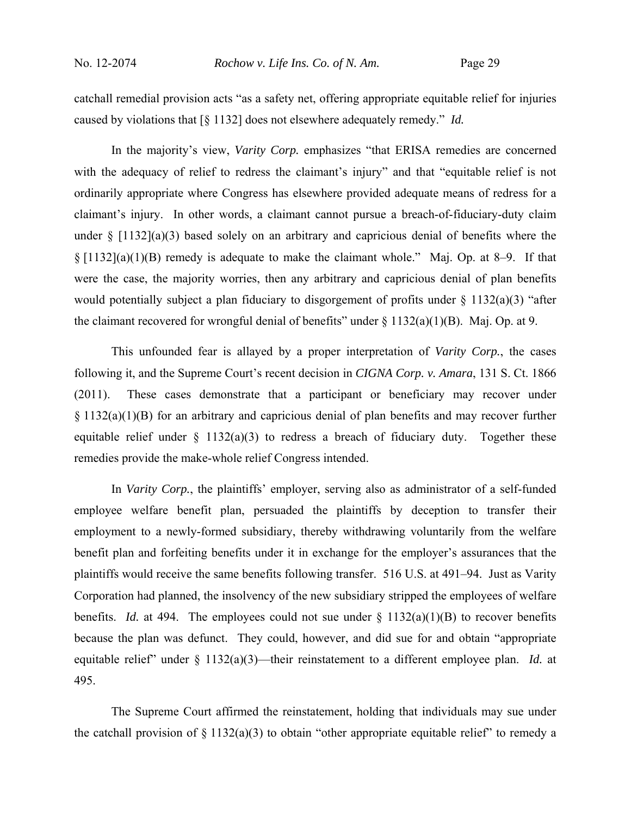catchall remedial provision acts "as a safety net, offering appropriate equitable relief for injuries caused by violations that [§ 1132] does not elsewhere adequately remedy." *Id.*

In the majority's view, *Varity Corp.* emphasizes "that ERISA remedies are concerned with the adequacy of relief to redress the claimant's injury" and that "equitable relief is not ordinarily appropriate where Congress has elsewhere provided adequate means of redress for a claimant's injury. In other words, a claimant cannot pursue a breach-of-fiduciary-duty claim under  $\S$  [1132](a)(3) based solely on an arbitrary and capricious denial of benefits where the § [1132](a)(1)(B) remedy is adequate to make the claimant whole." Maj. Op. at 8–9. If that were the case, the majority worries, then any arbitrary and capricious denial of plan benefits would potentially subject a plan fiduciary to disgorgement of profits under  $\S$  1132(a)(3) "after the claimant recovered for wrongful denial of benefits" under  $\S 1132(a)(1)(B)$ . Maj. Op. at 9.

This unfounded fear is allayed by a proper interpretation of *Varity Corp.*, the cases following it, and the Supreme Court's recent decision in *CIGNA Corp. v. Amara*, 131 S. Ct. 1866 (2011). These cases demonstrate that a participant or beneficiary may recover under § 1132(a)(1)(B) for an arbitrary and capricious denial of plan benefits and may recover further equitable relief under  $\S$  1132(a)(3) to redress a breach of fiduciary duty. Together these remedies provide the make-whole relief Congress intended.

In *Varity Corp.*, the plaintiffs' employer, serving also as administrator of a self-funded employee welfare benefit plan, persuaded the plaintiffs by deception to transfer their employment to a newly-formed subsidiary, thereby withdrawing voluntarily from the welfare benefit plan and forfeiting benefits under it in exchange for the employer's assurances that the plaintiffs would receive the same benefits following transfer. 516 U.S. at 491–94. Just as Varity Corporation had planned, the insolvency of the new subsidiary stripped the employees of welfare benefits. *Id.* at 494. The employees could not sue under  $\S$  1132(a)(1)(B) to recover benefits because the plan was defunct. They could, however, and did sue for and obtain "appropriate equitable relief" under § 1132(a)(3)—their reinstatement to a different employee plan. *Id.* at 495.

The Supreme Court affirmed the reinstatement, holding that individuals may sue under the catchall provision of  $\S 1132(a)(3)$  to obtain "other appropriate equitable relief" to remedy a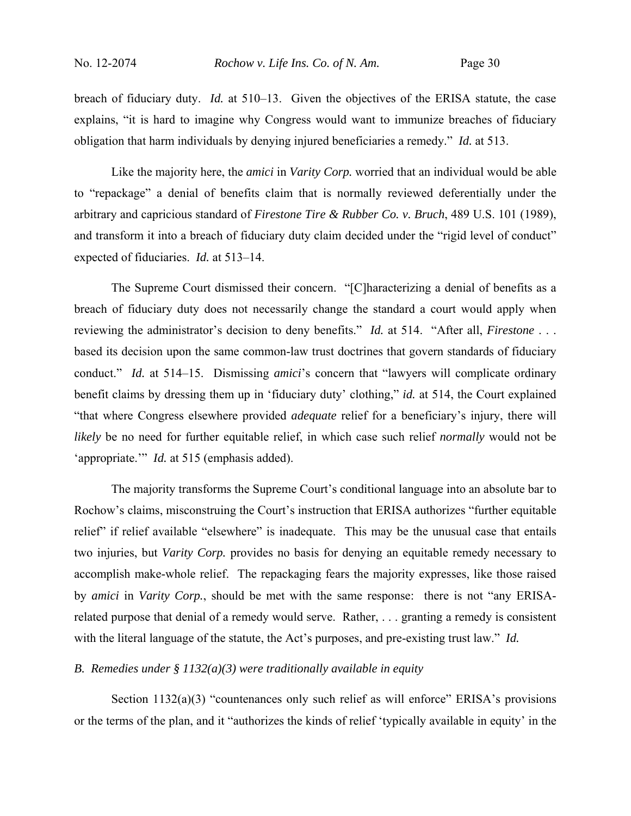breach of fiduciary duty. *Id.* at 510–13. Given the objectives of the ERISA statute, the case explains, "it is hard to imagine why Congress would want to immunize breaches of fiduciary obligation that harm individuals by denying injured beneficiaries a remedy." *Id.* at 513.

Like the majority here, the *amici* in *Varity Corp.* worried that an individual would be able to "repackage" a denial of benefits claim that is normally reviewed deferentially under the arbitrary and capricious standard of *Firestone Tire & Rubber Co. v. Bruch*, 489 U.S. 101 (1989), and transform it into a breach of fiduciary duty claim decided under the "rigid level of conduct" expected of fiduciaries. *Id.* at 513–14.

The Supreme Court dismissed their concern. "[C]haracterizing a denial of benefits as a breach of fiduciary duty does not necessarily change the standard a court would apply when reviewing the administrator's decision to deny benefits." *Id.* at 514. "After all, *Firestone* . . . based its decision upon the same common-law trust doctrines that govern standards of fiduciary conduct." *Id.* at 514–15. Dismissing *amici*'s concern that "lawyers will complicate ordinary benefit claims by dressing them up in 'fiduciary duty' clothing," *id.* at 514, the Court explained "that where Congress elsewhere provided *adequate* relief for a beneficiary's injury, there will *likely* be no need for further equitable relief, in which case such relief *normally* would not be 'appropriate.'" *Id.* at 515 (emphasis added).

The majority transforms the Supreme Court's conditional language into an absolute bar to Rochow's claims, misconstruing the Court's instruction that ERISA authorizes "further equitable relief" if relief available "elsewhere" is inadequate. This may be the unusual case that entails two injuries, but *Varity Corp.* provides no basis for denying an equitable remedy necessary to accomplish make-whole relief. The repackaging fears the majority expresses, like those raised by *amici* in *Varity Corp.*, should be met with the same response: there is not "any ERISArelated purpose that denial of a remedy would serve. Rather, . . . granting a remedy is consistent with the literal language of the statute, the Act's purposes, and pre-existing trust law." *Id.*

## *B. Remedies under § 1132(a)(3) were traditionally available in equity*

Section 1132(a)(3) "countenances only such relief as will enforce" ERISA's provisions or the terms of the plan, and it "authorizes the kinds of relief 'typically available in equity' in the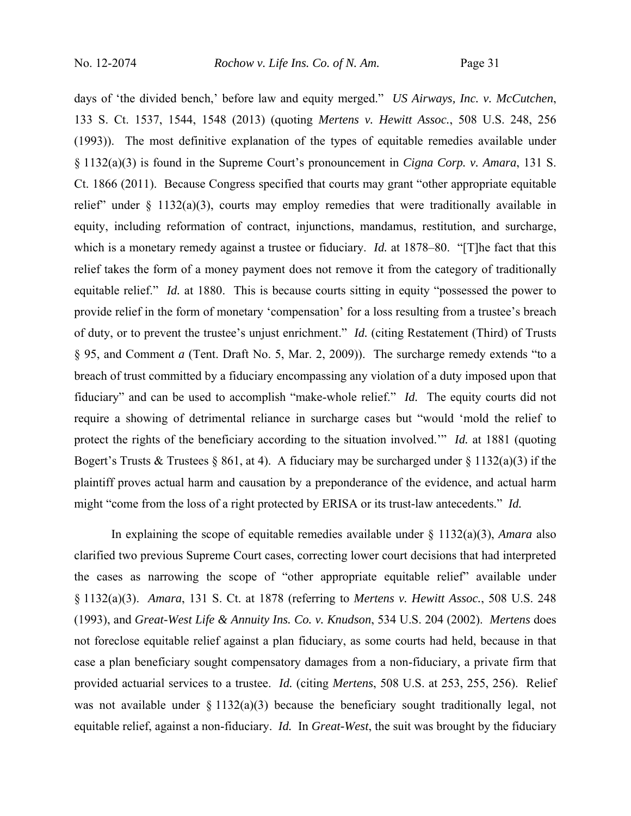days of 'the divided bench,' before law and equity merged." *US Airways, Inc. v. McCutchen*, 133 S. Ct. 1537, 1544, 1548 (2013) (quoting *Mertens v. Hewitt Assoc.*, 508 U.S. 248, 256 (1993)). The most definitive explanation of the types of equitable remedies available under § 1132(a)(3) is found in the Supreme Court's pronouncement in *Cigna Corp. v. Amara*, 131 S. Ct. 1866 (2011). Because Congress specified that courts may grant "other appropriate equitable relief" under  $\S$  1132(a)(3), courts may employ remedies that were traditionally available in equity, including reformation of contract, injunctions, mandamus, restitution, and surcharge, which is a monetary remedy against a trustee or fiduciary. *Id.* at 1878–80. "[T]he fact that this relief takes the form of a money payment does not remove it from the category of traditionally equitable relief." *Id.* at 1880. This is because courts sitting in equity "possessed the power to provide relief in the form of monetary 'compensation' for a loss resulting from a trustee's breach of duty, or to prevent the trustee's unjust enrichment." *Id.* (citing Restatement (Third) of Trusts § 95, and Comment *a* (Tent. Draft No. 5, Mar. 2, 2009)). The surcharge remedy extends "to a breach of trust committed by a fiduciary encompassing any violation of a duty imposed upon that fiduciary" and can be used to accomplish "make-whole relief." *Id.* The equity courts did not require a showing of detrimental reliance in surcharge cases but "would 'mold the relief to protect the rights of the beneficiary according to the situation involved.'" *Id.* at 1881 (quoting Bogert's Trusts & Trustees § 861, at 4). A fiduciary may be surcharged under § 1132(a)(3) if the plaintiff proves actual harm and causation by a preponderance of the evidence, and actual harm might "come from the loss of a right protected by ERISA or its trust-law antecedents." *Id.*

In explaining the scope of equitable remedies available under § 1132(a)(3), *Amara* also clarified two previous Supreme Court cases, correcting lower court decisions that had interpreted the cases as narrowing the scope of "other appropriate equitable relief" available under § 1132(a)(3). *Amara*, 131 S. Ct. at 1878 (referring to *Mertens v. Hewitt Assoc.*, 508 U.S. 248 (1993), and *Great-West Life & Annuity Ins. Co. v. Knudson*, 534 U.S. 204 (2002). *Mertens* does not foreclose equitable relief against a plan fiduciary, as some courts had held, because in that case a plan beneficiary sought compensatory damages from a non-fiduciary, a private firm that provided actuarial services to a trustee. *Id.* (citing *Mertens*, 508 U.S. at 253, 255, 256). Relief was not available under  $\S 1132(a)(3)$  because the beneficiary sought traditionally legal, not equitable relief, against a non-fiduciary. *Id.* In *Great-West*, the suit was brought by the fiduciary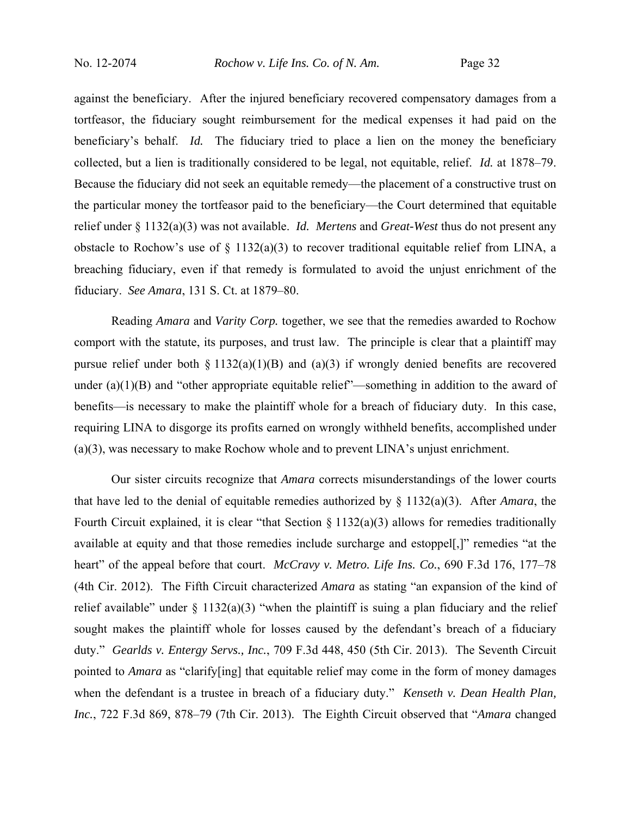against the beneficiary. After the injured beneficiary recovered compensatory damages from a tortfeasor, the fiduciary sought reimbursement for the medical expenses it had paid on the beneficiary's behalf. *Id.* The fiduciary tried to place a lien on the money the beneficiary collected, but a lien is traditionally considered to be legal, not equitable, relief. *Id.* at 1878–79. Because the fiduciary did not seek an equitable remedy—the placement of a constructive trust on the particular money the tortfeasor paid to the beneficiary—the Court determined that equitable relief under § 1132(a)(3) was not available. *Id. Mertens* and *Great-West* thus do not present any obstacle to Rochow's use of  $\S$  1132(a)(3) to recover traditional equitable relief from LINA, a breaching fiduciary, even if that remedy is formulated to avoid the unjust enrichment of the fiduciary. *See Amara*, 131 S. Ct. at 1879–80.

Reading *Amara* and *Varity Corp.* together, we see that the remedies awarded to Rochow comport with the statute, its purposes, and trust law. The principle is clear that a plaintiff may pursue relief under both  $\S 1132(a)(1)(B)$  and  $(a)(3)$  if wrongly denied benefits are recovered under  $(a)(1)(B)$  and "other appropriate equitable relief"—something in addition to the award of benefits—is necessary to make the plaintiff whole for a breach of fiduciary duty. In this case, requiring LINA to disgorge its profits earned on wrongly withheld benefits, accomplished under (a)(3), was necessary to make Rochow whole and to prevent LINA's unjust enrichment.

Our sister circuits recognize that *Amara* corrects misunderstandings of the lower courts that have led to the denial of equitable remedies authorized by § 1132(a)(3). After *Amara*, the Fourth Circuit explained, it is clear "that Section  $\S 1132(a)(3)$  allows for remedies traditionally available at equity and that those remedies include surcharge and estoppel[,]" remedies "at the heart" of the appeal before that court. *McCravy v. Metro. Life Ins. Co.*, 690 F.3d 176, 177–78 (4th Cir. 2012). The Fifth Circuit characterized *Amara* as stating "an expansion of the kind of relief available" under  $\S$  1132(a)(3) "when the plaintiff is suing a plan fiduciary and the relief sought makes the plaintiff whole for losses caused by the defendant's breach of a fiduciary duty." *Gearlds v. Entergy Servs., Inc.*, 709 F.3d 448, 450 (5th Cir. 2013). The Seventh Circuit pointed to *Amara* as "clarify[ing] that equitable relief may come in the form of money damages when the defendant is a trustee in breach of a fiduciary duty." *Kenseth v. Dean Health Plan, Inc.*, 722 F.3d 869, 878–79 (7th Cir. 2013). The Eighth Circuit observed that "*Amara* changed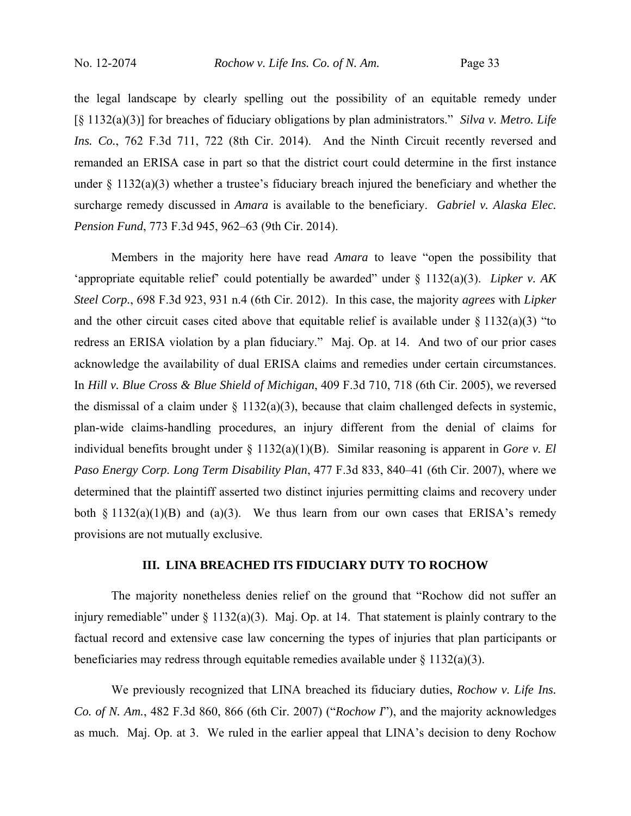the legal landscape by clearly spelling out the possibility of an equitable remedy under [§ 1132(a)(3)] for breaches of fiduciary obligations by plan administrators." *Silva v. Metro. Life Ins. Co.*, 762 F.3d 711, 722 (8th Cir. 2014). And the Ninth Circuit recently reversed and remanded an ERISA case in part so that the district court could determine in the first instance under  $\S$  1132(a)(3) whether a trustee's fiduciary breach injured the beneficiary and whether the surcharge remedy discussed in *Amara* is available to the beneficiary. *Gabriel v. Alaska Elec. Pension Fund*, 773 F.3d 945, 962–63 (9th Cir. 2014).

Members in the majority here have read *Amara* to leave "open the possibility that 'appropriate equitable relief' could potentially be awarded" under § 1132(a)(3). *Lipker v. AK Steel Corp.*, 698 F.3d 923, 931 n.4 (6th Cir. 2012). In this case, the majority *agrees* with *Lipker* and the other circuit cases cited above that equitable relief is available under  $\S 1132(a)(3)$  "to redress an ERISA violation by a plan fiduciary." Maj. Op. at 14. And two of our prior cases acknowledge the availability of dual ERISA claims and remedies under certain circumstances. In *Hill v. Blue Cross & Blue Shield of Michigan*, 409 F.3d 710, 718 (6th Cir. 2005), we reversed the dismissal of a claim under  $\S$  1132(a)(3), because that claim challenged defects in systemic, plan-wide claims-handling procedures, an injury different from the denial of claims for individual benefits brought under  $\S 1132(a)(1)(B)$ . Similar reasoning is apparent in *Gore v. El Paso Energy Corp. Long Term Disability Plan*, 477 F.3d 833, 840–41 (6th Cir. 2007), where we determined that the plaintiff asserted two distinct injuries permitting claims and recovery under both  $\S 1132(a)(1)(B)$  and  $(a)(3)$ . We thus learn from our own cases that ERISA's remedy provisions are not mutually exclusive.

### **III. LINA BREACHED ITS FIDUCIARY DUTY TO ROCHOW**

The majority nonetheless denies relief on the ground that "Rochow did not suffer an injury remediable" under § 1132(a)(3). Maj. Op. at 14. That statement is plainly contrary to the factual record and extensive case law concerning the types of injuries that plan participants or beneficiaries may redress through equitable remedies available under  $\S 1132(a)(3)$ .

We previously recognized that LINA breached its fiduciary duties, *Rochow v. Life Ins. Co. of N. Am.*, 482 F.3d 860, 866 (6th Cir. 2007) ("*Rochow I*"), and the majority acknowledges as much. Maj. Op. at 3. We ruled in the earlier appeal that LINA's decision to deny Rochow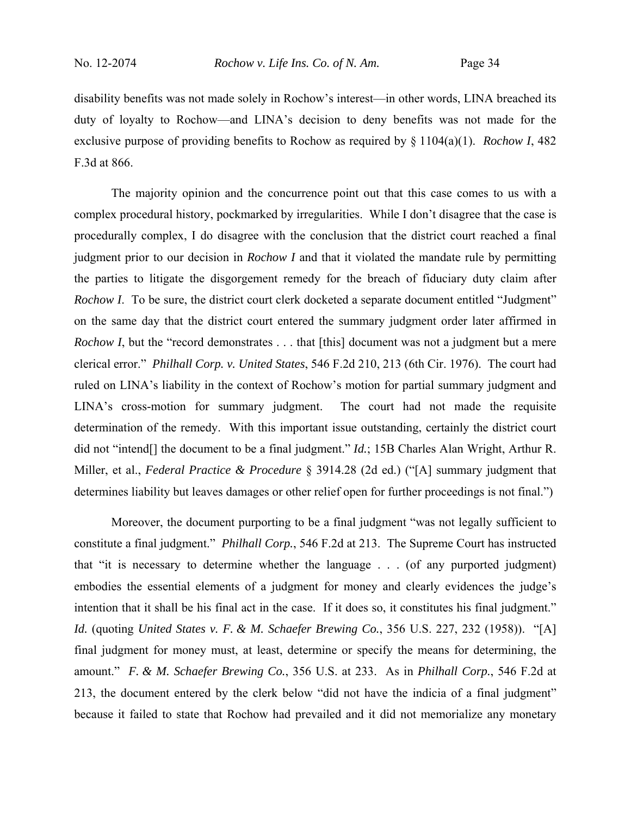disability benefits was not made solely in Rochow's interest—in other words, LINA breached its duty of loyalty to Rochow—and LINA's decision to deny benefits was not made for the exclusive purpose of providing benefits to Rochow as required by § 1104(a)(1). *Rochow I*, 482 F.3d at 866.

The majority opinion and the concurrence point out that this case comes to us with a complex procedural history, pockmarked by irregularities. While I don't disagree that the case is procedurally complex, I do disagree with the conclusion that the district court reached a final judgment prior to our decision in *Rochow I* and that it violated the mandate rule by permitting the parties to litigate the disgorgement remedy for the breach of fiduciary duty claim after *Rochow I*. To be sure, the district court clerk docketed a separate document entitled "Judgment" on the same day that the district court entered the summary judgment order later affirmed in *Rochow I*, but the "record demonstrates . . . that [this] document was not a judgment but a mere clerical error." *Philhall Corp. v. United States*, 546 F.2d 210, 213 (6th Cir. 1976). The court had ruled on LINA's liability in the context of Rochow's motion for partial summary judgment and LINA's cross-motion for summary judgment. The court had not made the requisite determination of the remedy. With this important issue outstanding, certainly the district court did not "intend[] the document to be a final judgment." *Id.*; 15B Charles Alan Wright, Arthur R. Miller, et al., *Federal Practice & Procedure* § 3914.28 (2d ed.) ("[A] summary judgment that determines liability but leaves damages or other relief open for further proceedings is not final.")

Moreover, the document purporting to be a final judgment "was not legally sufficient to constitute a final judgment." *Philhall Corp.*, 546 F.2d at 213. The Supreme Court has instructed that "it is necessary to determine whether the language . . . (of any purported judgment) embodies the essential elements of a judgment for money and clearly evidences the judge's intention that it shall be his final act in the case. If it does so, it constitutes his final judgment." *Id.* (quoting *United States v. F. & M. Schaefer Brewing Co.*, 356 U.S. 227, 232 (1958)). "[A] final judgment for money must, at least, determine or specify the means for determining, the amount." *F. & M. Schaefer Brewing Co.*, 356 U.S. at 233. As in *Philhall Corp.*, 546 F.2d at 213, the document entered by the clerk below "did not have the indicia of a final judgment" because it failed to state that Rochow had prevailed and it did not memorialize any monetary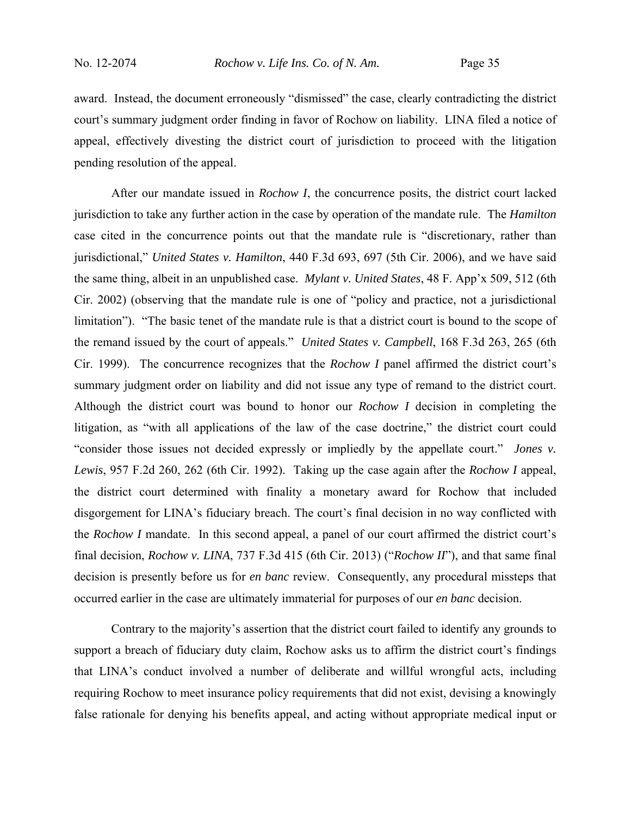award. Instead, the document erroneously "dismissed" the case, clearly contradicting the district court's summary judgment order finding in favor of Rochow on liability. LINA filed a notice of appeal, effectively divesting the district court of jurisdiction to proceed with the litigation pending resolution of the appeal.

After our mandate issued in *Rochow I*, the concurrence posits, the district court lacked jurisdiction to take any further action in the case by operation of the mandate rule. The *Hamilton* case cited in the concurrence points out that the mandate rule is "discretionary, rather than jurisdictional," *United States v. Hamilton*, 440 F.3d 693, 697 (5th Cir. 2006), and we have said the same thing, albeit in an unpublished case. *Mylant v. United States*, 48 F. App'x 509, 512 (6th Cir. 2002) (observing that the mandate rule is one of "policy and practice, not a jurisdictional limitation"). "The basic tenet of the mandate rule is that a district court is bound to the scope of the remand issued by the court of appeals." *United States v. Campbell*, 168 F.3d 263, 265 (6th Cir. 1999). The concurrence recognizes that the *Rochow I* panel affirmed the district court's summary judgment order on liability and did not issue any type of remand to the district court. Although the district court was bound to honor our *Rochow I* decision in completing the litigation, as "with all applications of the law of the case doctrine," the district court could "consider those issues not decided expressly or impliedly by the appellate court." *Jones v. Lewis*, 957 F.2d 260, 262 (6th Cir. 1992). Taking up the case again after the *Rochow I* appeal, the district court determined with finality a monetary award for Rochow that included disgorgement for LINA's fiduciary breach. The court's final decision in no way conflicted with the *Rochow I* mandate. In this second appeal, a panel of our court affirmed the district court's final decision, *Rochow v. LINA*, 737 F.3d 415 (6th Cir. 2013) ("*Rochow II*"), and that same final decision is presently before us for *en banc* review. Consequently, any procedural missteps that occurred earlier in the case are ultimately immaterial for purposes of our *en banc* decision.

Contrary to the majority's assertion that the district court failed to identify any grounds to support a breach of fiduciary duty claim, Rochow asks us to affirm the district court's findings that LINA's conduct involved a number of deliberate and willful wrongful acts, including requiring Rochow to meet insurance policy requirements that did not exist, devising a knowingly false rationale for denying his benefits appeal, and acting without appropriate medical input or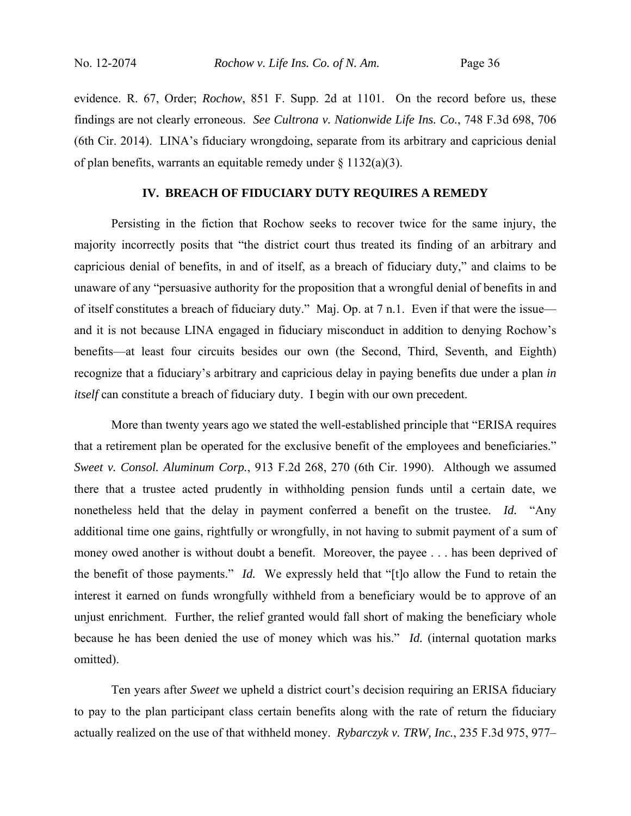evidence. R. 67, Order; *Rochow*, 851 F. Supp. 2d at 1101. On the record before us, these findings are not clearly erroneous. *See Cultrona v. Nationwide Life Ins. Co.*, 748 F.3d 698, 706 (6th Cir. 2014). LINA's fiduciary wrongdoing, separate from its arbitrary and capricious denial of plan benefits, warrants an equitable remedy under  $\S 1132(a)(3)$ .

## **IV. BREACH OF FIDUCIARY DUTY REQUIRES A REMEDY**

Persisting in the fiction that Rochow seeks to recover twice for the same injury, the majority incorrectly posits that "the district court thus treated its finding of an arbitrary and capricious denial of benefits, in and of itself, as a breach of fiduciary duty," and claims to be unaware of any "persuasive authority for the proposition that a wrongful denial of benefits in and of itself constitutes a breach of fiduciary duty." Maj. Op. at 7 n.1. Even if that were the issue and it is not because LINA engaged in fiduciary misconduct in addition to denying Rochow's benefits—at least four circuits besides our own (the Second, Third, Seventh, and Eighth) recognize that a fiduciary's arbitrary and capricious delay in paying benefits due under a plan *in itself* can constitute a breach of fiduciary duty. I begin with our own precedent.

More than twenty years ago we stated the well-established principle that "ERISA requires that a retirement plan be operated for the exclusive benefit of the employees and beneficiaries." *Sweet v. Consol. Aluminum Corp.*, 913 F.2d 268, 270 (6th Cir. 1990). Although we assumed there that a trustee acted prudently in withholding pension funds until a certain date, we nonetheless held that the delay in payment conferred a benefit on the trustee. *Id.* "Any additional time one gains, rightfully or wrongfully, in not having to submit payment of a sum of money owed another is without doubt a benefit. Moreover, the payee . . . has been deprived of the benefit of those payments." *Id.* We expressly held that "[t]o allow the Fund to retain the interest it earned on funds wrongfully withheld from a beneficiary would be to approve of an unjust enrichment. Further, the relief granted would fall short of making the beneficiary whole because he has been denied the use of money which was his." *Id.* (internal quotation marks omitted).

Ten years after *Sweet* we upheld a district court's decision requiring an ERISA fiduciary to pay to the plan participant class certain benefits along with the rate of return the fiduciary actually realized on the use of that withheld money. *Rybarczyk v. TRW, Inc.*, 235 F.3d 975, 977–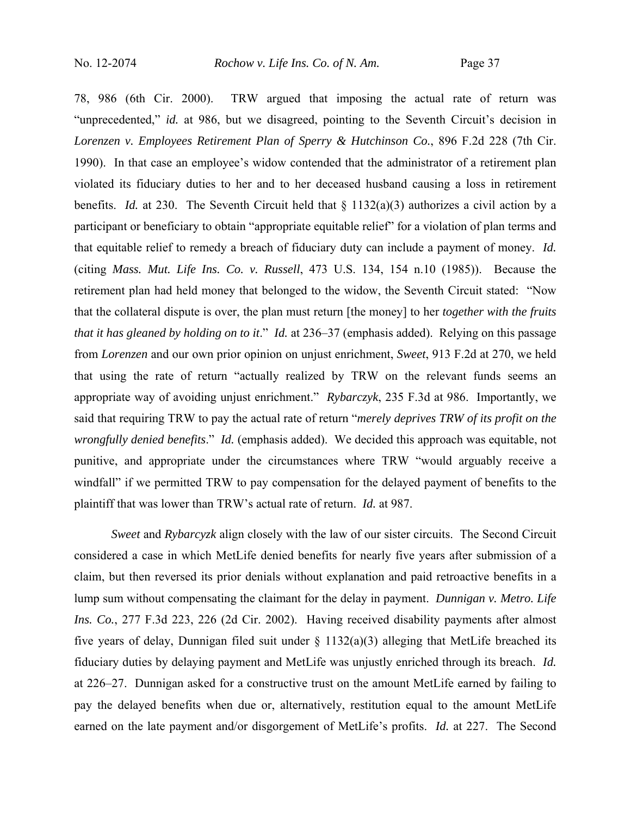78, 986 (6th Cir. 2000). TRW argued that imposing the actual rate of return was "unprecedented," *id.* at 986, but we disagreed, pointing to the Seventh Circuit's decision in *Lorenzen v. Employees Retirement Plan of Sperry & Hutchinson Co.*, 896 F.2d 228 (7th Cir. 1990). In that case an employee's widow contended that the administrator of a retirement plan violated its fiduciary duties to her and to her deceased husband causing a loss in retirement benefits. *Id.* at 230. The Seventh Circuit held that § 1132(a)(3) authorizes a civil action by a participant or beneficiary to obtain "appropriate equitable relief" for a violation of plan terms and that equitable relief to remedy a breach of fiduciary duty can include a payment of money. *Id.* (citing *Mass. Mut. Life Ins. Co. v. Russell*, 473 U.S. 134, 154 n.10 (1985)). Because the retirement plan had held money that belonged to the widow, the Seventh Circuit stated: "Now that the collateral dispute is over, the plan must return [the money] to her *together with the fruits that it has gleaned by holding on to it*." *Id.* at 236–37 (emphasis added). Relying on this passage from *Lorenzen* and our own prior opinion on unjust enrichment, *Sweet*, 913 F.2d at 270, we held that using the rate of return "actually realized by TRW on the relevant funds seems an appropriate way of avoiding unjust enrichment." *Rybarczyk*, 235 F.3d at 986. Importantly, we said that requiring TRW to pay the actual rate of return "*merely deprives TRW of its profit on the wrongfully denied benefits*." *Id.* (emphasis added). We decided this approach was equitable, not punitive, and appropriate under the circumstances where TRW "would arguably receive a windfall" if we permitted TRW to pay compensation for the delayed payment of benefits to the plaintiff that was lower than TRW's actual rate of return. *Id.* at 987.

*Sweet* and *Rybarcyzk* align closely with the law of our sister circuits. The Second Circuit considered a case in which MetLife denied benefits for nearly five years after submission of a claim, but then reversed its prior denials without explanation and paid retroactive benefits in a lump sum without compensating the claimant for the delay in payment. *Dunnigan v. Metro. Life Ins. Co.*, 277 F.3d 223, 226 (2d Cir. 2002). Having received disability payments after almost five years of delay, Dunnigan filed suit under  $\S$  1132(a)(3) alleging that MetLife breached its fiduciary duties by delaying payment and MetLife was unjustly enriched through its breach. *Id.* at 226–27. Dunnigan asked for a constructive trust on the amount MetLife earned by failing to pay the delayed benefits when due or, alternatively, restitution equal to the amount MetLife earned on the late payment and/or disgorgement of MetLife's profits. *Id.* at 227. The Second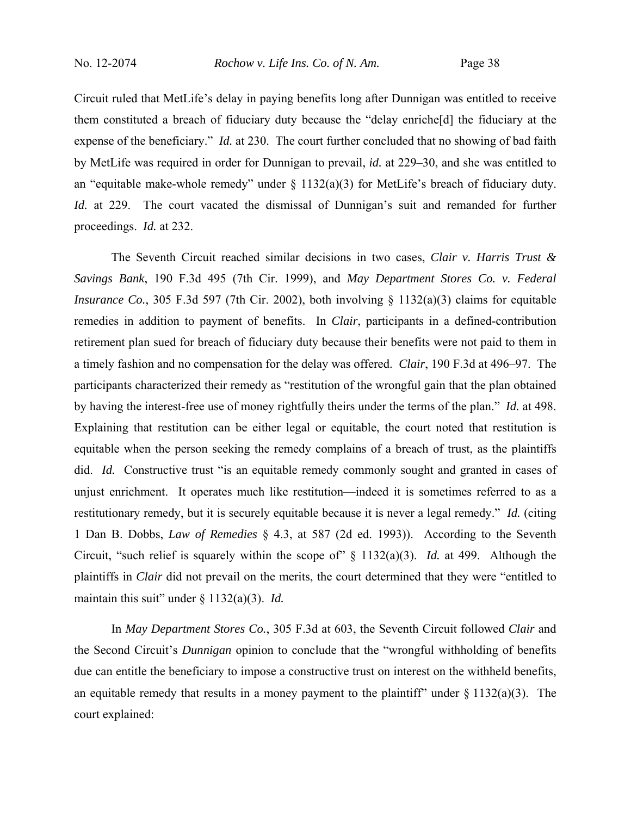Circuit ruled that MetLife's delay in paying benefits long after Dunnigan was entitled to receive them constituted a breach of fiduciary duty because the "delay enriche[d] the fiduciary at the expense of the beneficiary." *Id.* at 230. The court further concluded that no showing of bad faith by MetLife was required in order for Dunnigan to prevail, *id.* at 229–30, and she was entitled to an "equitable make-whole remedy" under  $\S$  1132(a)(3) for MetLife's breach of fiduciary duty. *Id.* at 229. The court vacated the dismissal of Dunnigan's suit and remanded for further proceedings. *Id.* at 232.

The Seventh Circuit reached similar decisions in two cases, *Clair v. Harris Trust & Savings Bank*, 190 F.3d 495 (7th Cir. 1999), and *May Department Stores Co. v. Federal Insurance Co.*, 305 F.3d 597 (7th Cir. 2002), both involving § 1132(a)(3) claims for equitable remedies in addition to payment of benefits. In *Clair*, participants in a defined-contribution retirement plan sued for breach of fiduciary duty because their benefits were not paid to them in a timely fashion and no compensation for the delay was offered. *Clair*, 190 F.3d at 496–97. The participants characterized their remedy as "restitution of the wrongful gain that the plan obtained by having the interest-free use of money rightfully theirs under the terms of the plan." *Id.* at 498. Explaining that restitution can be either legal or equitable, the court noted that restitution is equitable when the person seeking the remedy complains of a breach of trust, as the plaintiffs did. *Id.* Constructive trust "is an equitable remedy commonly sought and granted in cases of unjust enrichment. It operates much like restitution—indeed it is sometimes referred to as a restitutionary remedy, but it is securely equitable because it is never a legal remedy." *Id.* (citing 1 Dan B. Dobbs, *Law of Remedies* § 4.3, at 587 (2d ed. 1993)). According to the Seventh Circuit, "such relief is squarely within the scope of" § 1132(a)(3). *Id.* at 499. Although the plaintiffs in *Clair* did not prevail on the merits, the court determined that they were "entitled to maintain this suit" under § 1132(a)(3). *Id.*

In *May Department Stores Co.*, 305 F.3d at 603, the Seventh Circuit followed *Clair* and the Second Circuit's *Dunnigan* opinion to conclude that the "wrongful withholding of benefits due can entitle the beneficiary to impose a constructive trust on interest on the withheld benefits, an equitable remedy that results in a money payment to the plaintiff" under  $\S$  1132(a)(3). The court explained: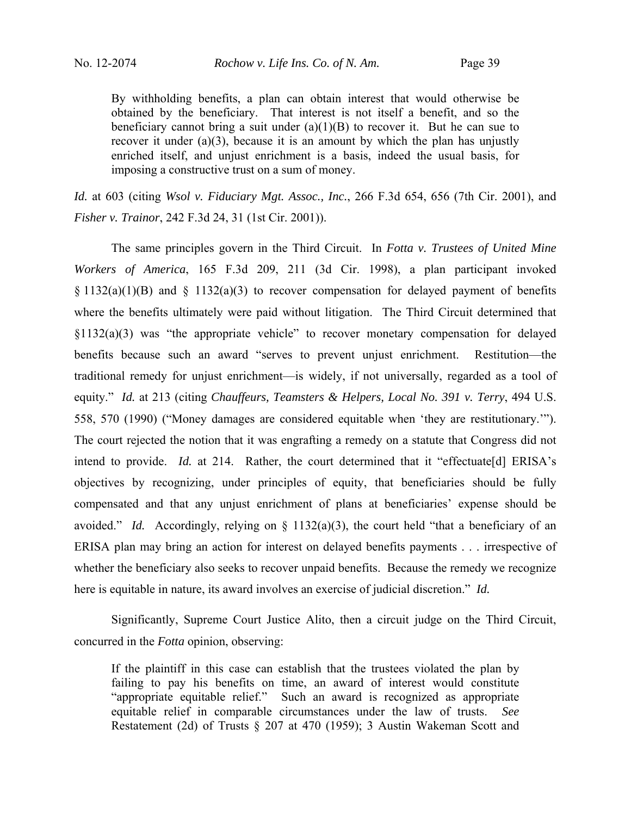By withholding benefits, a plan can obtain interest that would otherwise be obtained by the beneficiary. That interest is not itself a benefit, and so the beneficiary cannot bring a suit under  $(a)(1)(B)$  to recover it. But he can sue to recover it under (a)(3), because it is an amount by which the plan has unjustly enriched itself, and unjust enrichment is a basis, indeed the usual basis, for imposing a constructive trust on a sum of money.

*Id.* at 603 (citing *Wsol v. Fiduciary Mgt. Assoc., Inc.*, 266 F.3d 654, 656 (7th Cir. 2001), and *Fisher v. Trainor*, 242 F.3d 24, 31 (1st Cir. 2001)).

The same principles govern in the Third Circuit. In *Fotta v. Trustees of United Mine Workers of America*, 165 F.3d 209, 211 (3d Cir. 1998), a plan participant invoked  $§ 1132(a)(1)(B)$  and  $§ 1132(a)(3)$  to recover compensation for delayed payment of benefits where the benefits ultimately were paid without litigation. The Third Circuit determined that §1132(a)(3) was "the appropriate vehicle" to recover monetary compensation for delayed benefits because such an award "serves to prevent unjust enrichment. Restitution—the traditional remedy for unjust enrichment—is widely, if not universally, regarded as a tool of equity." *Id.* at 213 (citing *Chauffeurs, Teamsters & Helpers, Local No. 391 v. Terry*, 494 U.S. 558, 570 (1990) ("Money damages are considered equitable when 'they are restitutionary.'"). The court rejected the notion that it was engrafting a remedy on a statute that Congress did not intend to provide. *Id.* at 214. Rather, the court determined that it "effectuate[d] ERISA's objectives by recognizing, under principles of equity, that beneficiaries should be fully compensated and that any unjust enrichment of plans at beneficiaries' expense should be avoided." *Id.* Accordingly, relying on § 1132(a)(3), the court held "that a beneficiary of an ERISA plan may bring an action for interest on delayed benefits payments . . . irrespective of whether the beneficiary also seeks to recover unpaid benefits. Because the remedy we recognize here is equitable in nature, its award involves an exercise of judicial discretion." *Id.*

Significantly, Supreme Court Justice Alito, then a circuit judge on the Third Circuit, concurred in the *Fotta* opinion, observing:

If the plaintiff in this case can establish that the trustees violated the plan by failing to pay his benefits on time, an award of interest would constitute "appropriate equitable relief." Such an award is recognized as appropriate equitable relief in comparable circumstances under the law of trusts. *See* Restatement (2d) of Trusts § 207 at 470 (1959); 3 Austin Wakeman Scott and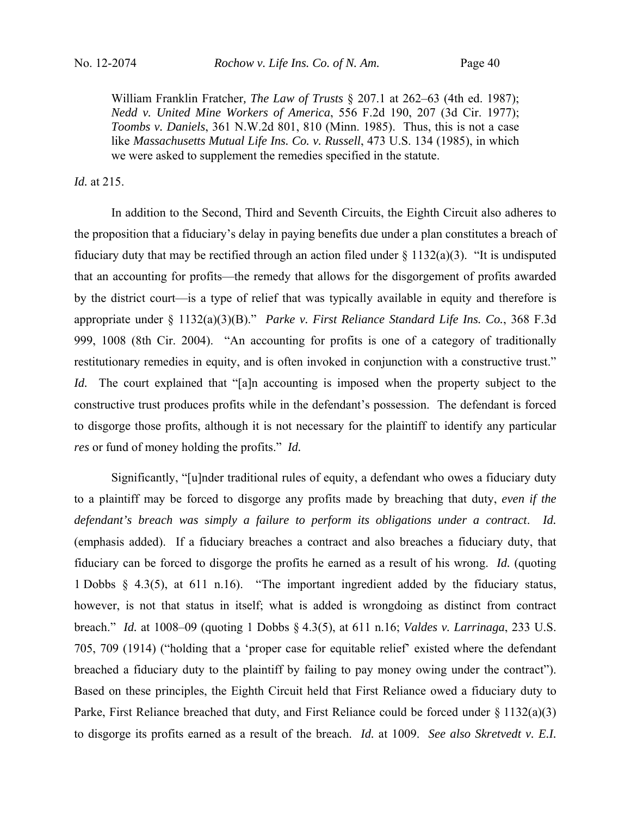William Franklin Fratcher*, The Law of Trusts* § 207.1 at 262–63 (4th ed. 1987); *Nedd v. United Mine Workers of America*, 556 F.2d 190, 207 (3d Cir. 1977); *Toombs v. Daniels*, 361 N.W.2d 801, 810 (Minn. 1985). Thus, this is not a case like *Massachusetts Mutual Life Ins. Co. v. Russell*, 473 U.S. 134 (1985), in which we were asked to supplement the remedies specified in the statute.

## *Id.* at 215.

In addition to the Second, Third and Seventh Circuits, the Eighth Circuit also adheres to the proposition that a fiduciary's delay in paying benefits due under a plan constitutes a breach of fiduciary duty that may be rectified through an action filed under  $\S$  1132(a)(3). "It is undisputed that an accounting for profits—the remedy that allows for the disgorgement of profits awarded by the district court—is a type of relief that was typically available in equity and therefore is appropriate under § 1132(a)(3)(B)." *Parke v. First Reliance Standard Life Ins. Co.*, 368 F.3d 999, 1008 (8th Cir. 2004). "An accounting for profits is one of a category of traditionally restitutionary remedies in equity, and is often invoked in conjunction with a constructive trust." *Id.* The court explained that "[a]n accounting is imposed when the property subject to the constructive trust produces profits while in the defendant's possession. The defendant is forced to disgorge those profits, although it is not necessary for the plaintiff to identify any particular *res* or fund of money holding the profits." *Id.* 

Significantly, "[u]nder traditional rules of equity, a defendant who owes a fiduciary duty to a plaintiff may be forced to disgorge any profits made by breaching that duty, *even if the defendant's breach was simply a failure to perform its obligations under a contract*. *Id.*  (emphasis added). If a fiduciary breaches a contract and also breaches a fiduciary duty, that fiduciary can be forced to disgorge the profits he earned as a result of his wrong. *Id.* (quoting 1 Dobbs § 4.3(5), at 611 n.16). "The important ingredient added by the fiduciary status, however, is not that status in itself; what is added is wrongdoing as distinct from contract breach." *Id.* at 1008–09 (quoting 1 Dobbs § 4.3(5), at 611 n.16; *Valdes v. Larrinaga*, 233 U.S. 705, 709 (1914) ("holding that a 'proper case for equitable relief' existed where the defendant breached a fiduciary duty to the plaintiff by failing to pay money owing under the contract"). Based on these principles, the Eighth Circuit held that First Reliance owed a fiduciary duty to Parke, First Reliance breached that duty, and First Reliance could be forced under § 1132(a)(3) to disgorge its profits earned as a result of the breach. *Id.* at 1009. *See also Skretvedt v. E.I.*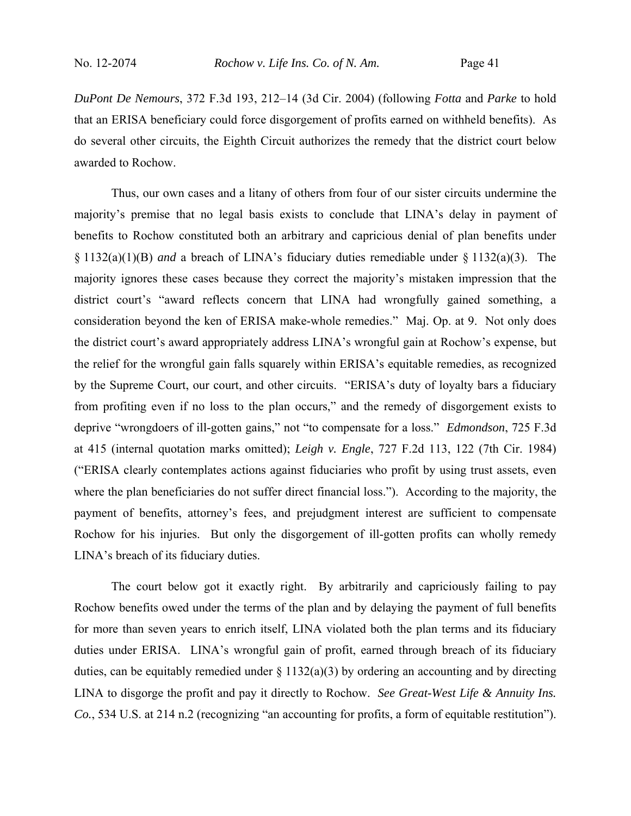*DuPont De Nemours*, 372 F.3d 193, 212–14 (3d Cir. 2004) (following *Fotta* and *Parke* to hold that an ERISA beneficiary could force disgorgement of profits earned on withheld benefits). As do several other circuits, the Eighth Circuit authorizes the remedy that the district court below awarded to Rochow.

Thus, our own cases and a litany of others from four of our sister circuits undermine the majority's premise that no legal basis exists to conclude that LINA's delay in payment of benefits to Rochow constituted both an arbitrary and capricious denial of plan benefits under § 1132(a)(1)(B) *and* a breach of LINA's fiduciary duties remediable under § 1132(a)(3). The majority ignores these cases because they correct the majority's mistaken impression that the district court's "award reflects concern that LINA had wrongfully gained something, a consideration beyond the ken of ERISA make-whole remedies." Maj. Op. at 9. Not only does the district court's award appropriately address LINA's wrongful gain at Rochow's expense, but the relief for the wrongful gain falls squarely within ERISA's equitable remedies, as recognized by the Supreme Court, our court, and other circuits. "ERISA's duty of loyalty bars a fiduciary from profiting even if no loss to the plan occurs," and the remedy of disgorgement exists to deprive "wrongdoers of ill-gotten gains," not "to compensate for a loss." *Edmondson*, 725 F.3d at 415 (internal quotation marks omitted); *Leigh v. Engle*, 727 F.2d 113, 122 (7th Cir. 1984) ("ERISA clearly contemplates actions against fiduciaries who profit by using trust assets, even where the plan beneficiaries do not suffer direct financial loss."). According to the majority, the payment of benefits, attorney's fees, and prejudgment interest are sufficient to compensate Rochow for his injuries. But only the disgorgement of ill-gotten profits can wholly remedy LINA's breach of its fiduciary duties.

The court below got it exactly right. By arbitrarily and capriciously failing to pay Rochow benefits owed under the terms of the plan and by delaying the payment of full benefits for more than seven years to enrich itself, LINA violated both the plan terms and its fiduciary duties under ERISA. LINA's wrongful gain of profit, earned through breach of its fiduciary duties, can be equitably remedied under  $\S 1132(a)(3)$  by ordering an accounting and by directing LINA to disgorge the profit and pay it directly to Rochow. *See Great-West Life & Annuity Ins. Co.*, 534 U.S. at 214 n.2 (recognizing "an accounting for profits, a form of equitable restitution").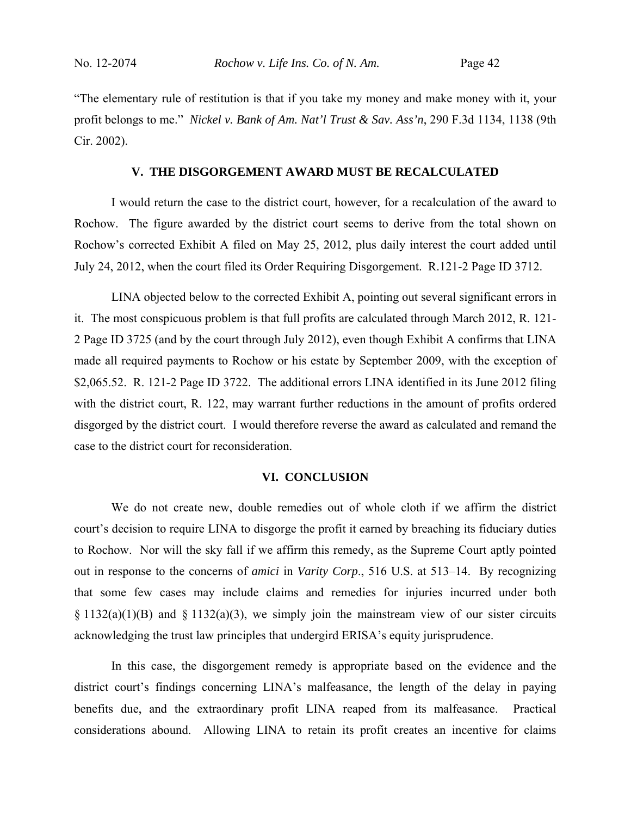"The elementary rule of restitution is that if you take my money and make money with it, your profit belongs to me." *Nickel v. Bank of Am. Nat'l Trust & Sav. Ass'n*, 290 F.3d 1134, 1138 (9th Cir. 2002).

### **V. THE DISGORGEMENT AWARD MUST BE RECALCULATED**

I would return the case to the district court, however, for a recalculation of the award to Rochow. The figure awarded by the district court seems to derive from the total shown on Rochow's corrected Exhibit A filed on May 25, 2012, plus daily interest the court added until July 24, 2012, when the court filed its Order Requiring Disgorgement. R.121-2 Page ID 3712.

LINA objected below to the corrected Exhibit A, pointing out several significant errors in it. The most conspicuous problem is that full profits are calculated through March 2012, R. 121- 2 Page ID 3725 (and by the court through July 2012), even though Exhibit A confirms that LINA made all required payments to Rochow or his estate by September 2009, with the exception of \$2,065.52. R. 121-2 Page ID 3722. The additional errors LINA identified in its June 2012 filing with the district court, R. 122, may warrant further reductions in the amount of profits ordered disgorged by the district court. I would therefore reverse the award as calculated and remand the case to the district court for reconsideration.

### **VI. CONCLUSION**

We do not create new, double remedies out of whole cloth if we affirm the district court's decision to require LINA to disgorge the profit it earned by breaching its fiduciary duties to Rochow. Nor will the sky fall if we affirm this remedy, as the Supreme Court aptly pointed out in response to the concerns of *amici* in *Varity Corp*., 516 U.S. at 513–14. By recognizing that some few cases may include claims and remedies for injuries incurred under both  $\S 1132(a)(1)(B)$  and  $\S 1132(a)(3)$ , we simply join the mainstream view of our sister circuits acknowledging the trust law principles that undergird ERISA's equity jurisprudence.

In this case, the disgorgement remedy is appropriate based on the evidence and the district court's findings concerning LINA's malfeasance, the length of the delay in paying benefits due, and the extraordinary profit LINA reaped from its malfeasance. Practical considerations abound. Allowing LINA to retain its profit creates an incentive for claims